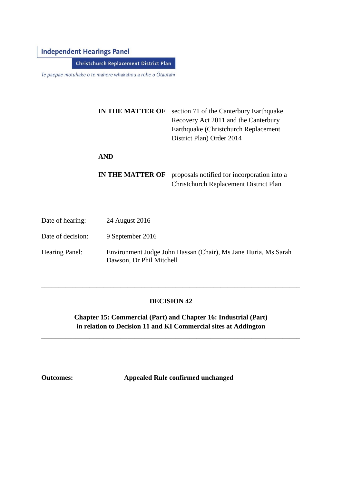# **Independent Hearings Panel**

Christchurch Replacement District Plan

Te paepae motuhake o te mahere whakahou a rohe o Ōtautahi

| <b>IN THE MATTER OF</b> | section 71 of the Canterbury Earthquake     |
|-------------------------|---------------------------------------------|
|                         | Recovery Act 2011 and the Canterbury        |
|                         | Earthquake (Christchurch Replacement)       |
|                         | District Plan) Order 2014                   |
|                         |                                             |
| AND                     |                                             |
|                         |                                             |
| <b>IN THE MATTER OF</b> | proposals notified for incorporation into a |
|                         | Christchurch Replacement District Plan      |

| Date of hearing:      | 24 August 2016                                                                             |
|-----------------------|--------------------------------------------------------------------------------------------|
| Date of decision:     | 9 September 2016                                                                           |
| <b>Hearing Panel:</b> | Environment Judge John Hassan (Chair), Ms Jane Huria, Ms Sarah<br>Dawson, Dr Phil Mitchell |

## **DECISION 42**

\_\_\_\_\_\_\_\_\_\_\_\_\_\_\_\_\_\_\_\_\_\_\_\_\_\_\_\_\_\_\_\_\_\_\_\_\_\_\_\_\_\_\_\_\_\_\_\_\_\_\_\_\_\_\_\_\_\_\_\_\_\_\_\_\_\_\_\_\_\_\_\_\_\_\_

**Chapter 15: Commercial (Part) and Chapter 16: Industrial (Part) in relation to Decision 11 and KI Commercial sites at Addington**

\_\_\_\_\_\_\_\_\_\_\_\_\_\_\_\_\_\_\_\_\_\_\_\_\_\_\_\_\_\_\_\_\_\_\_\_\_\_\_\_\_\_\_\_\_\_\_\_\_\_\_\_\_\_\_\_\_\_\_\_\_\_\_\_\_\_\_\_\_\_\_\_\_\_\_

**Outcomes: Appealed Rule confirmed unchanged**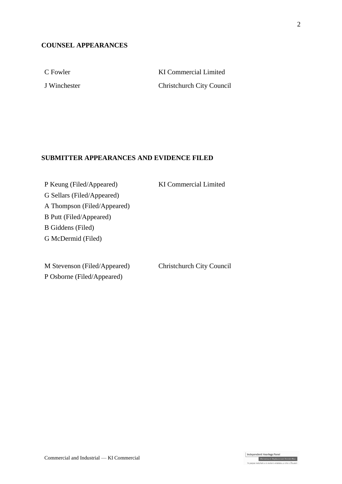## **COUNSEL APPEARANCES**

C Fowler KI Commercial Limited J Winchester Christchurch City Council

## **SUBMITTER APPEARANCES AND EVIDENCE FILED**

KI Commercial Limited

P Keung (Filed/Appeared) G Sellars (Filed/Appeared) A Thompson (Filed/Appeared) B Putt (Filed/Appeared) B Giddens (Filed) G McDermid (Filed)

M Stevenson (Filed/Appeared) P Osborne (Filed/Appeared)

Christchurch City Council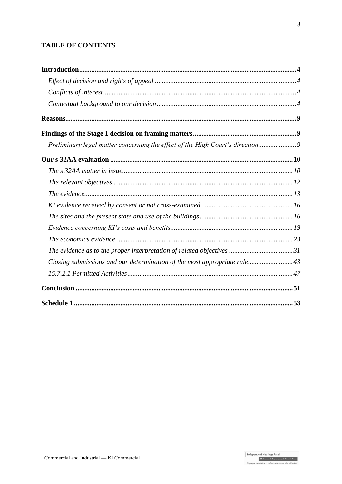# **TABLE OF CONTENTS**

| Preliminary legal matter concerning the effect of the High Court's direction |  |
|------------------------------------------------------------------------------|--|
|                                                                              |  |
|                                                                              |  |
|                                                                              |  |
|                                                                              |  |
|                                                                              |  |
|                                                                              |  |
|                                                                              |  |
|                                                                              |  |
|                                                                              |  |
| Closing submissions and our determination of the most appropriate rule43     |  |
|                                                                              |  |
|                                                                              |  |
|                                                                              |  |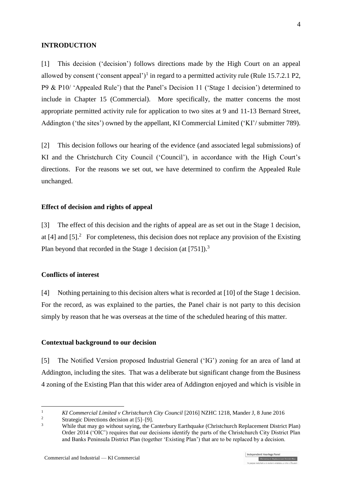#### **INTRODUCTION**

[1] This decision ('decision') follows directions made by the High Court on an appeal allowed by consent ('consent appeal')<sup>1</sup> in regard to a permitted activity rule (Rule 15.7.2.1 P2, P9 & P10/ 'Appealed Rule') that the Panel's Decision 11 ('Stage 1 decision') determined to include in Chapter 15 (Commercial). More specifically, the matter concerns the most appropriate permitted activity rule for application to two sites at 9 and 11-13 Bernard Street, Addington ('the sites') owned by the appellant, KI Commercial Limited ('KI'/ submitter 789).

[2] This decision follows our hearing of the evidence (and associated legal submissions) of KI and the Christchurch City Council ('Council'), in accordance with the High Court's directions. For the reasons we set out, we have determined to confirm the Appealed Rule unchanged.

#### **Effect of decision and rights of appeal**

[3] The effect of this decision and the rights of appeal are as set out in the Stage 1 decision, at  $[4]$  and  $[5]$ <sup>2</sup> For completeness, this decision does not replace any provision of the Existing Plan beyond that recorded in the Stage 1 decision (at  $[751]$ ).<sup>3</sup>

## **Conflicts of interest**

<u>.</u>

[4] Nothing pertaining to this decision alters what is recorded at [10] of the Stage 1 decision. For the record, as was explained to the parties, the Panel chair is not party to this decision simply by reason that he was overseas at the time of the scheduled hearing of this matter.

### **Contextual background to our decision**

[5] The Notified Version proposed Industrial General ('IG') zoning for an area of land at Addington, including the sites. That was a deliberate but significant change from the Business 4 zoning of the Existing Plan that this wider area of Addington enjoyed and which is visible in

<sup>&</sup>lt;sup>1</sup><br>*KI Commercial Limited v Christchurch City Council* [2016] NZHC 1218, Mander J, 8 June 2016

<sup>&</sup>lt;sup>2</sup> Strategic Directions decision at  $[5]$ –[9].

While that may go without saying, the Canterbury Earthquake (Christchurch Replacement District Plan) Order 2014 ('OIC') requires that our decisions identify the parts of the Christchurch City District Plan and Banks Peninsula District Plan (together 'Existing Plan') that are to be replaced by a decision.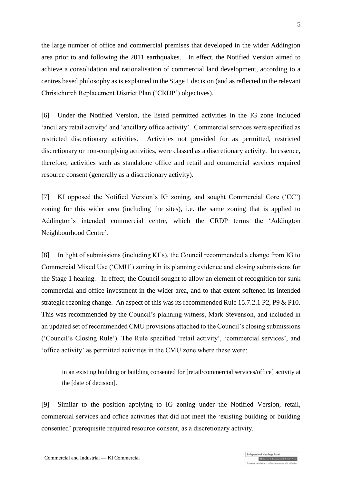the large number of office and commercial premises that developed in the wider Addington area prior to and following the 2011 earthquakes. In effect, the Notified Version aimed to achieve a consolidation and rationalisation of commercial land development, according to a centres based philosophy as is explained in the Stage 1 decision (and as reflected in the relevant Christchurch Replacement District Plan ('CRDP') objectives).

[6] Under the Notified Version, the listed permitted activities in the IG zone included 'ancillary retail activity' and 'ancillary office activity'. Commercial services were specified as restricted discretionary activities. Activities not provided for as permitted, restricted discretionary or non-complying activities, were classed as a discretionary activity. In essence, therefore, activities such as standalone office and retail and commercial services required resource consent (generally as a discretionary activity).

[7] KI opposed the Notified Version's IG zoning, and sought Commercial Core ('CC') zoning for this wider area (including the sites), i.e. the same zoning that is applied to Addington's intended commercial centre, which the CRDP terms the 'Addington Neighbourhood Centre'.

[8] In light of submissions (including KI's), the Council recommended a change from IG to Commercial Mixed Use ('CMU') zoning in its planning evidence and closing submissions for the Stage 1 hearing. In effect, the Council sought to allow an element of recognition for sunk commercial and office investment in the wider area, and to that extent softened its intended strategic rezoning change. An aspect of this was its recommended Rule 15.7.2.1 P2, P9 & P10. This was recommended by the Council's planning witness, Mark Stevenson, and included in an updated set of recommended CMU provisions attached to the Council's closing submissions ('Council's Closing Rule'). The Rule specified 'retail activity', 'commercial services', and 'office activity' as permitted activities in the CMU zone where these were:

in an existing building or building consented for [retail/commercial services/office] activity at the [date of decision].

[9] Similar to the position applying to IG zoning under the Notified Version, retail, commercial services and office activities that did not meet the 'existing building or building consented' prerequisite required resource consent, as a discretionary activity.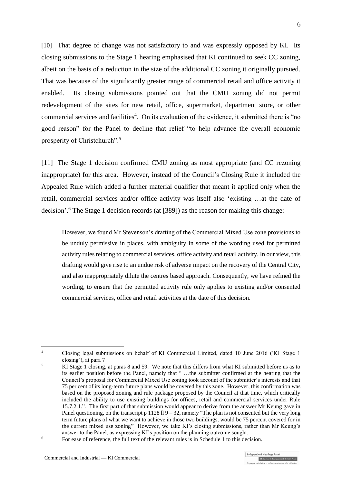[10] That degree of change was not satisfactory to and was expressly opposed by KI. Its closing submissions to the Stage 1 hearing emphasised that KI continued to seek CC zoning, albeit on the basis of a reduction in the size of the additional CC zoning it originally pursued. That was because of the significantly greater range of commercial retail and office activity it enabled. Its closing submissions pointed out that the CMU zoning did not permit redevelopment of the sites for new retail, office, supermarket, department store, or other commercial services and facilities<sup>4</sup>. On its evaluation of the evidence, it submitted there is "no good reason" for the Panel to decline that relief "to help advance the overall economic prosperity of Christchurch".<sup>5</sup>

[11] The Stage 1 decision confirmed CMU zoning as most appropriate (and CC rezoning inappropriate) for this area. However, instead of the Council's Closing Rule it included the Appealed Rule which added a further material qualifier that meant it applied only when the retail, commercial services and/or office activity was itself also 'existing …at the date of decision'.<sup>6</sup> The Stage 1 decision records (at [389]) as the reason for making this change:

However, we found Mr Stevenson's drafting of the Commercial Mixed Use zone provisions to be unduly permissive in places, with ambiguity in some of the wording used for permitted activity rules relating to commercial services, office activity and retail activity. In our view, this drafting would give rise to an undue risk of adverse impact on the recovery of the Central City, and also inappropriately dilute the centres based approach. Consequently, we have refined the wording, to ensure that the permitted activity rule only applies to existing and/or consented commercial services, office and retail activities at the date of this decision.

<sup>4</sup> Closing legal submissions on behalf of KI Commercial Limited, dated 10 June 2016 ('KI Stage 1 closing'), at para 7

<sup>&</sup>lt;sup>5</sup> KI Stage 1 closing, at paras 8 and 59. We note that this differs from what KI submitted before us as to its earlier position before the Panel, namely that " …the submitter confirmed at the hearing that the Council's proposal for Commercial Mixed Use zoning took account of the submitter's interests and that 75 per cent of its long-term future plans would be covered by this zone. However, this confirmation was based on the proposed zoning and rule package proposed by the Council at that time, which critically included the ability to use existing buildings for offices, retail and commercial services under Rule 15.7.2.1.". The first part of that submission would appear to derive from the answer Mr Keung gave in Panel questioning, on the transcript p 1128 ll  $9 - 32$ , namely "The plan is not consented but the very long term future plans of what we want to achieve in those two buildings, would be 75 percent covered for in the current mixed use zoning" However, we take KI's closing submissions, rather than Mr Keung's answer to the Panel, as expressing KI's position on the planning outcome sought.

 $6\degree$  For ease of reference, the full text of the relevant rules is in Schedule 1 to this decision.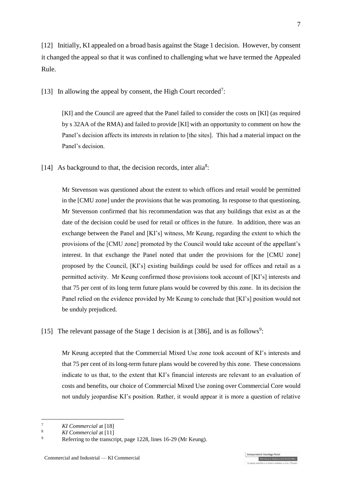[12] Initially, KI appealed on a broad basis against the Stage 1 decision. However, by consent it changed the appeal so that it was confined to challenging what we have termed the Appealed Rule.

[13] In allowing the appeal by consent, the High Court recorded<sup>7</sup>:

[KI] and the Council are agreed that the Panel failed to consider the costs on [KI] (as required by s 32AA of the RMA) and failed to provide [KI] with an opportunity to comment on how the Panel's decision affects its interests in relation to [the sites]. This had a material impact on the Panel's decision.

[14] As background to that, the decision records, inter alia<sup>8</sup>:

Mr Stevenson was questioned about the extent to which offices and retail would be permitted in the [CMU zone] under the provisions that he was promoting. In response to that questioning, Mr Stevenson confirmed that his recommendation was that any buildings that exist as at the date of the decision could be used for retail or offices in the future. In addition, there was an exchange between the Panel and [KI's] witness, Mr Keung, regarding the extent to which the provisions of the [CMU zone] promoted by the Council would take account of the appellant's interest. In that exchange the Panel noted that under the provisions for the [CMU zone] proposed by the Council, [KI's] existing buildings could be used for offices and retail as a permitted activity. Mr Keung confirmed those provisions took account of [KI's] interests and that 75 per cent of its long term future plans would be covered by this zone. In its decision the Panel relied on the evidence provided by Mr Keung to conclude that [KI's] position would not be unduly prejudiced.

[15] The relevant passage of the Stage 1 decision is at [386], and is as follows<sup>9</sup>:

Mr Keung accepted that the Commercial Mixed Use zone took account of KI's interests and that 75 per cent of its long-term future plans would be covered by this zone. These concessions indicate to us that, to the extent that KI's financial interests are relevant to an evaluation of costs and benefits, our choice of Commercial Mixed Use zoning over Commercial Core would not unduly jeopardise KI's position. Rather, it would appear it is more a question of relative

 $\overline{7}$ <sup>7</sup> *KI Commercial* at [18]

 $\frac{8}{9}$  *KI Commercial* at [11]

Referring to the transcript, page 1228, lines 16-29 (Mr Keung).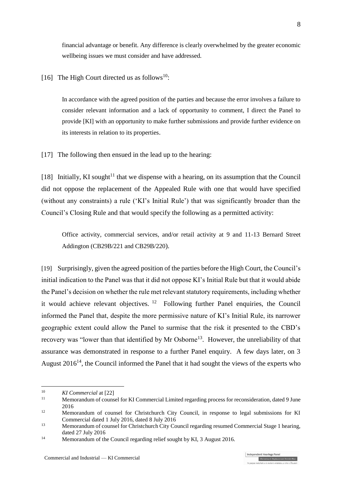financial advantage or benefit. Any difference is clearly overwhelmed by the greater economic wellbeing issues we must consider and have addressed.

[16] The High Court directed us as follows<sup>10</sup>:

In accordance with the agreed position of the parties and because the error involves a failure to consider relevant information and a lack of opportunity to comment, I direct the Panel to provide [KI] with an opportunity to make further submissions and provide further evidence on its interests in relation to its properties.

[17] The following then ensued in the lead up to the hearing:

[18] Initially, KI sought<sup>11</sup> that we dispense with a hearing, on its assumption that the Council did not oppose the replacement of the Appealed Rule with one that would have specified (without any constraints) a rule ('KI's Initial Rule') that was significantly broader than the Council's Closing Rule and that would specify the following as a permitted activity:

Office activity, commercial services, and/or retail activity at 9 and 11-13 Bernard Street Addington (CB29B/221 and CB29B/220).

[19] Surprisingly, given the agreed position of the parties before the High Court, the Council's initial indication to the Panel was that it did not oppose KI's Initial Rule but that it would abide the Panel's decision on whether the rule met relevant statutory requirements, including whether it would achieve relevant objectives.  $12$  Following further Panel enquiries, the Council informed the Panel that, despite the more permissive nature of KI's Initial Rule, its narrower geographic extent could allow the Panel to surmise that the risk it presented to the CBD's recovery was "lower than that identified by Mr Osborne<sup>13</sup>. However, the unreliability of that assurance was demonstrated in response to a further Panel enquiry. A few days later, on 3 August  $2016^{14}$ , the Council informed the Panel that it had sought the views of the experts who

<sup>&</sup>lt;sup>10</sup> *KI Commercial* at [22]

<sup>11</sup> Memorandum of counsel for KI Commercial Limited regarding process for reconsideration, dated 9 June 2016

<sup>&</sup>lt;sup>12</sup> Memorandum of counsel for Christchurch City Council, in response to legal submissions for KI Commercial dated 1 July 2016, dated 8 July 2016

<sup>13</sup> Memorandum of counsel for Christchurch City Council regarding resumed Commercial Stage 1 hearing, dated 27 July 2016

<sup>&</sup>lt;sup>14</sup> Memorandum of the Council regarding relief sought by KI, 3 August 2016.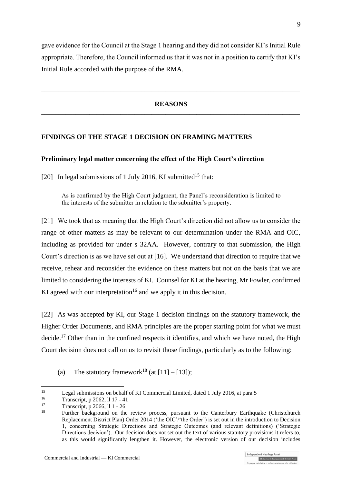gave evidence for the Council at the Stage 1 hearing and they did not consider KI's Initial Rule appropriate. Therefore, the Council informed us that it was not in a position to certify that KI's Initial Rule accorded with the purpose of the RMA.

## **REASONS \_\_\_\_\_\_\_\_\_\_\_\_\_\_\_\_\_\_\_\_\_\_\_\_\_\_\_\_\_\_\_\_\_\_\_\_\_\_\_\_\_\_\_\_\_\_\_\_\_\_\_\_\_\_\_\_\_\_\_\_\_\_\_\_\_\_\_\_\_\_\_\_\_\_\_**

**\_\_\_\_\_\_\_\_\_\_\_\_\_\_\_\_\_\_\_\_\_\_\_\_\_\_\_\_\_\_\_\_\_\_\_\_\_\_\_\_\_\_\_\_\_\_\_\_\_\_\_\_\_\_\_\_\_\_\_\_\_\_\_\_\_\_\_\_\_\_\_\_\_\_\_**

## **FINDINGS OF THE STAGE 1 DECISION ON FRAMING MATTERS**

#### **Preliminary legal matter concerning the effect of the High Court's direction**

[20] In legal submissions of 1 July 2016, KI submitted<sup>15</sup> that:

As is confirmed by the High Court judgment, the Panel's reconsideration is limited to the interests of the submitter in relation to the submitter's property.

[21] We took that as meaning that the High Court's direction did not allow us to consider the range of other matters as may be relevant to our determination under the RMA and OIC, including as provided for under s 32AA. However, contrary to that submission, the High Court's direction is as we have set out at [16]. We understand that direction to require that we receive, rehear and reconsider the evidence on these matters but not on the basis that we are limited to considering the interests of KI. Counsel for KI at the hearing, Mr Fowler, confirmed KI agreed with our interpretation<sup>16</sup> and we apply it in this decision.

[22] As was accepted by KI, our Stage 1 decision findings on the statutory framework, the Higher Order Documents, and RMA principles are the proper starting point for what we must decide.<sup>17</sup> Other than in the confined respects it identifies, and which we have noted, the High Court decision does not call on us to revisit those findings, particularly as to the following:

(a) The statutory framework<sup>18</sup> (at  $[11] - [13]$ );

<sup>&</sup>lt;sup>15</sup> Legal submissions on behalf of KI Commercial Limited, dated 1 July 2016, at para 5<br><sup>16</sup> Transcript, p. 2062, 11.17, 41

 $\frac{16}{17}$  Transcript, p 2062, ll 17 - 41

 $\frac{17}{18}$  Transcript, p 2066, ll 1 - 26

Further background on the review process, pursuant to the Canterbury Earthquake (Christchurch [Replacement District Plan\) Order 2014](http://www.legislation.govt.nz/regulation/public/2014/0228/latest/DLM6190883.html?search=ts_act%40bill%40regulation%40deemedreg_Canterbury+Earthquake+%28Christchurch+Replacement+District+Plan%29+Order+2014+_resel_25_a&p=1) ('the OIC'/'the Order') is set out in the introduction to Decision 1, concerning Strategic Directions and Strategic Outcomes (and relevant definitions) ('Strategic Directions decision'). Our decision does not set out the text of various statutory provisions it refers to, as this would significantly lengthen it. However, the electronic version of our decision includes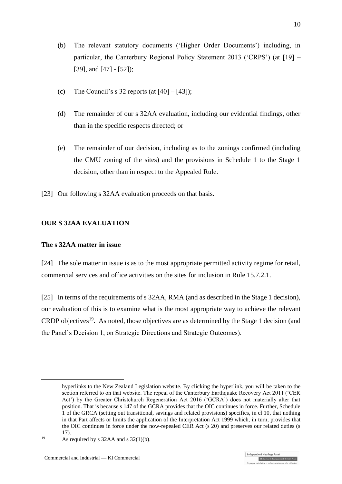- (b) The relevant statutory documents ('Higher Order Documents') including, in particular, the Canterbury Regional Policy Statement 2013 ('CRPS') (at [19] – [39], and [47] - [52]);
- (c) The Council's s 32 reports (at  $[40] [43]$ );
- (d) The remainder of our s 32AA evaluation, including our evidential findings, other than in the specific respects directed; or
- (e) The remainder of our decision, including as to the zonings confirmed (including the CMU zoning of the sites) and the provisions in Schedule 1 to the Stage 1 decision, other than in respect to the Appealed Rule.
- [23] Our following s 32AA evaluation proceeds on that basis.

## **OUR S 32AA EVALUATION**

## **The s 32AA matter in issue**

[24] The sole matter in issue is as to the most appropriate permitted activity regime for retail, commercial services and office activities on the sites for inclusion in Rule 15.7.2.1.

[25] In terms of the requirements of s 32AA, RMA (and as described in the Stage 1 decision), our evaluation of this is to examine what is the most appropriate way to achieve the relevant CRDP objectives<sup>19</sup>. As noted, those objectives are as determined by the Stage 1 decision (and the Panel's Decision 1, on Strategic Directions and Strategic Outcomes).

<u>.</u>

hyperlinks to the New Zealand Legislation website. By clicking the hyperlink, you will be taken to the section referred to on that website. The repeal of the Canterbury Earthquake Recovery Act 2011 ('CER Act') by the Greater Christchurch Regeneration Act 2016 ('GCRA') does not materially alter that position. That is because s 147 of the GCRA provides that the OIC continues in force. Further, Schedule 1 of the GRCA (setting out transitional, savings and related provisions) specifies, in cl 10, that nothing in that Part affects or limits the application of the Interpretation Act 1999 which, in turn, provides that the OIC continues in force under the now-repealed CER Act (s 20) and preserves our related duties (s 17).

<sup>&</sup>lt;sup>19</sup> As required by s 32AA and s  $32(1)(b)$ .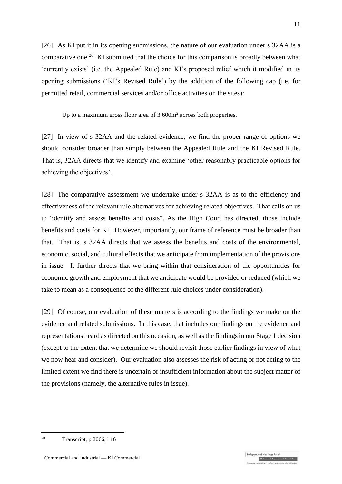[26] As KI put it in its opening submissions, the nature of our evaluation under s 32AA is a comparative one.<sup>20</sup> KI submitted that the choice for this comparison is broadly between what 'currently exists' (i.e. the Appealed Rule) and KI's proposed relief which it modified in its opening submissions ('KI's Revised Rule') by the addition of the following cap (i.e. for permitted retail, commercial services and/or office activities on the sites):

Up to a maximum gross floor area of  $3,600m^2$  across both properties.

<span id="page-10-0"></span>[27] In view of s 32AA and the related evidence, we find the proper range of options we should consider broader than simply between the Appealed Rule and the KI Revised Rule. That is, 32AA directs that we identify and examine 'other reasonably practicable options for achieving the objectives'.

[28] The comparative assessment we undertake under s 32AA is as to the efficiency and effectiveness of the relevant rule alternatives for achieving related objectives. That calls on us to 'identify and assess benefits and costs". As the High Court has directed, those include benefits and costs for KI. However, importantly, our frame of reference must be broader than that. That is, s 32AA directs that we assess the benefits and costs of the environmental, economic, social, and cultural effects that we anticipate from implementation of the provisions in issue. It further directs that we bring within that consideration of the opportunities for economic growth and employment that we anticipate would be provided or reduced (which we take to mean as a consequence of the different rule choices under consideration).

[29] Of course, our evaluation of these matters is according to the findings we make on the evidence and related submissions. In this case, that includes our findings on the evidence and representations heard as directed on this occasion, as well as the findings in our Stage 1 decision (except to the extent that we determine we should revisit those earlier findings in view of what we now hear and consider). Our evaluation also assesses the risk of acting or not acting to the limited extent we find there is uncertain or insufficient information about the subject matter of the provisions (namely, the alternative rules in issue).

<sup>20</sup> Transcript, p 2066, l 16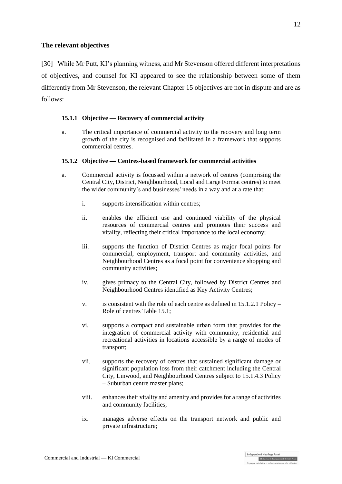## **The relevant objectives**

[30] While Mr Putt, KI's planning witness, and Mr Stevenson offered different interpretations of objectives, and counsel for KI appeared to see the relationship between some of them differently from Mr Stevenson, the relevant Chapter 15 objectives are not in dispute and are as follows:

#### **15.1.1 Objective — Recovery of commercial activity**

a. The critical importance of commercial activity to the recovery and long term growth of the city is recognised and facilitated in a framework that supports commercial centres.

#### **15.1.2 Objective — Centres-based framework for commercial activities**

- a. Commercial activity is focussed within a network of centres (comprising the Central City, District, Neighbourhood, Local and Large Format centres) to meet the wider community's and businesses' needs in a way and at a rate that:
	- i. supports intensification within centres;
	- ii. enables the efficient use and continued viability of the physical resources of commercial centres and promotes their success and vitality, reflecting their critical importance to the local economy;
	- iii. supports the function of District Centres as major focal points for commercial, employment, transport and community activities, and Neighbourhood Centres as a focal point for convenience shopping and community activities;
	- iv. gives primacy to the Central City, followed by District Centres and Neighbourhood Centres identified as Key Activity Centres;
	- v. is consistent with the role of each centre as defined in 15.1.2.1 Policy Role of centres Table 15.1;
	- vi. supports a compact and sustainable urban form that provides for the integration of commercial activity with community, residential and recreational activities in locations accessible by a range of modes of transport;
	- vii. supports the recovery of centres that sustained significant damage or significant population loss from their catchment including the Central City, Linwood, and Neighbourhood Centres subject to 15.1.4.3 Policy – Suburban centre master plans;
	- viii. enhances their vitality and amenity and provides for a range of activities and community facilities;
	- ix. manages adverse effects on the transport network and public and private infrastructure;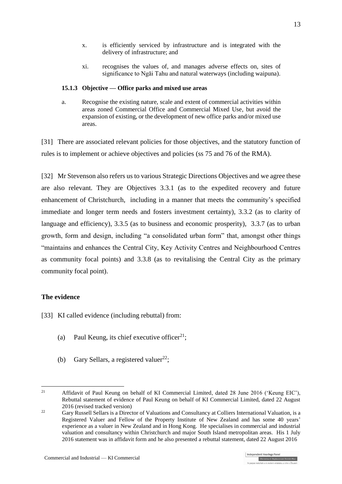- x. is efficiently serviced by infrastructure and is integrated with the delivery of infrastructure; and
- xi. recognises the values of, and manages adverse effects on, sites of significance to Ngāi Tahu and natural waterways (including waipuna).

#### **15.1.3 Objective — Office parks and mixed use areas**

a. Recognise the existing nature, scale and extent of commercial activities within areas zoned Commercial Office and Commercial Mixed Use, but avoid the expansion of existing, or the development of new office parks and/or mixed use areas.

[31] There are associated relevant policies for those objectives, and the statutory function of rules is to implement or achieve objectives and policies (ss 75 and 76 of the RMA).

[32] Mr Stevenson also refers us to various Strategic Directions Objectives and we agree these are also relevant. They are Objectives 3.3.1 (as to the expedited recovery and future enhancement of Christchurch, including in a manner that meets the community's specified immediate and longer term needs and fosters investment certainty), 3.3.2 (as to clarity of language and efficiency), 3.3.5 (as to business and economic prosperity), 3.3.7 (as to urban growth, form and design, including "a consolidated urban form" that, amongst other things "maintains and enhances the Central City, Key Activity Centres and Neighbourhood Centres as community focal points) and 3.3.8 (as to revitalising the Central City as the primary community focal point).

## **The evidence**

- [33] KI called evidence (including rebuttal) from:
	- (a) Paul Keung, its chief executive officer<sup>21</sup>;
	- (b) Gary Sellars, a registered valuer<sup>22</sup>;

<sup>1</sup> <sup>21</sup> Affidavit of Paul Keung on behalf of KI Commercial Limited, dated 28 June 2016 ('Keung EIC'), Rebuttal statement of evidence of Paul Keung on behalf of KI Commercial Limited, dated 22 August 2016 (revised tracked version)

<sup>&</sup>lt;sup>22</sup> Gary Russell Sellars is a Director of Valuations and Consultancy at Colliers International Valuation, is a Registered Valuer and Fellow of the Property Institute of New Zealand and has some 40 years' experience as a valuer in New Zealand and in Hong Kong. He specialises in commercial and industrial valuation and consultancy within Christchurch and major South Island metropolitan areas. His 1 July 2016 statement was in affidavit form and he also presented a rebuttal statement, dated 22 August 2016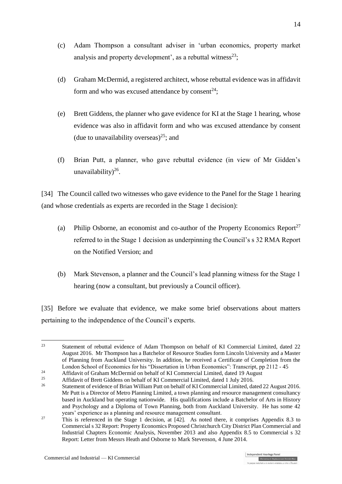- (c) Adam Thompson a consultant adviser in 'urban economics, property market analysis and property development', as a rebuttal witness $^{23}$ ;
- (d) Graham McDermid, a registered architect, whose rebuttal evidence was in affidavit form and who was excused attendance by consent<sup>24</sup>;
- (e) Brett Giddens, the planner who gave evidence for KI at the Stage 1 hearing, whose evidence was also in affidavit form and who was excused attendance by consent (due to unavailability overseas)<sup>25</sup>; and
- (f) Brian Putt, a planner, who gave rebuttal evidence (in view of Mr Gidden's unavailability) $^{26}$ .

<span id="page-13-0"></span>[34] The Council called two witnesses who gave evidence to the Panel for the Stage 1 hearing (and whose credentials as experts are recorded in the Stage 1 decision):

- (a) Philip Osborne, an economist and co-author of the Property Economics Report<sup>27</sup> referred to in the Stage 1 decision as underpinning the Council's s 32 RMA Report on the Notified Version; and
- (b) Mark Stevenson, a planner and the Council's lead planning witness for the Stage 1 hearing (now a consultant, but previously a Council officer).

[35] Before we evaluate that evidence, we make some brief observations about matters pertaining to the independence of the Council's experts.

<sup>23</sup> <sup>23</sup> Statement of rebuttal evidence of Adam Thompson on behalf of KI Commercial Limited, dated 22 August 2016. Mr Thompson has a Batchelor of Resource Studies form Lincoln University and a Master of Planning from Auckland University. In addition, he received a Certificate of Completion from the London School of Economics for his "Dissertation in Urban Economics": Transcript, pp 2112 - 45

<sup>&</sup>lt;sup>24</sup> Affidavit of Graham McDermid on behalf of KI Commercial Limited, dated 19 August <sup>25</sup>

<sup>&</sup>lt;sup>25</sup><br>Affidavit of Brett Giddens on behalf of KI Commercial Limited, dated 1 July 2016.

<sup>26</sup> Statement of evidence of Brian William Putt on behalf of KI Commercial Limited, dated 22 August 2016. Mr Putt is a Director of Metro Planning Limited, a town planning and resource management consultancy based in Auckland but operating nationwide. His qualifications include a Batchelor of Arts in History and Psychology and a Diploma of Town Planning, both from Auckland University. He has some 42 years' experience as a planning and resource management consultant.

<sup>&</sup>lt;sup>27</sup> This is referenced in the Stage 1 decision, at [42]. As noted there, it comprises Appendix 8.3 to Commercial s 32 Report: Property Economics Proposed Christchurch City District Plan Commercial and Industrial Chapters Economic Analysis, November 2013 and also Appendix 8.5 to Commercial s 32 Report: Letter from Messrs Heath and Osborne to Mark Stevenson, 4 June 2014.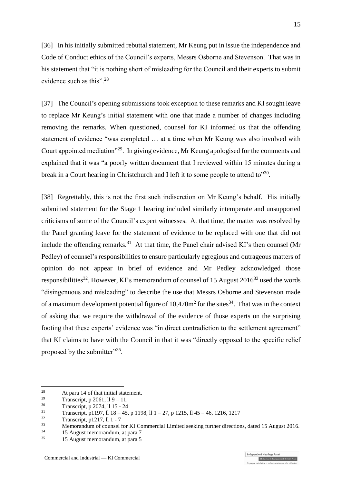[36] In his initially submitted rebuttal statement, Mr Keung put in issue the independence and Code of Conduct ethics of the Council's experts, Messrs Osborne and Stevenson. That was in his statement that "it is nothing short of misleading for the Council and their experts to submit evidence such as this" <sup>28</sup>

[37] The Council's opening submissions took exception to these remarks and KI sought leave to replace Mr Keung's initial statement with one that made a number of changes including removing the remarks. When questioned, counsel for KI informed us that the offending statement of evidence "was completed … at a time when Mr Keung was also involved with Court appointed mediation"<sup>29</sup>. In giving evidence, Mr Keung apologised for the comments and explained that it was "a poorly written document that I reviewed within 15 minutes during a break in a Court hearing in Christchurch and I left it to some people to attend to<sup>330</sup>.

[38] Regrettably, this is not the first such indiscretion on Mr Keung's behalf. His initially submitted statement for the Stage 1 hearing included similarly intemperate and unsupported criticisms of some of the Council's expert witnesses. At that time, the matter was resolved by the Panel granting leave for the statement of evidence to be replaced with one that did not include the offending remarks.<sup>31</sup> At that time, the Panel chair advised KI's then counsel (Mr Pedley) of counsel's responsibilities to ensure particularly egregious and outrageous matters of opinion do not appear in brief of evidence and Mr Pedley acknowledged those responsibilities<sup>32</sup>. However, KI's memorandum of counsel of 15 August  $2016^{33}$  used the words "disingenuous and misleading" to describe the use that Messrs Osborne and Stevenson made of a maximum development potential figure of  $10,470m^2$  for the sites<sup>34</sup>. That was in the context of asking that we require the withdrawal of the evidence of those experts on the surprising footing that these experts' evidence was "in direct contradiction to the settlement agreement" that KI claims to have with the Council in that it was "directly opposed to the specific relief proposed by the submitter"35.

<sup>&</sup>lt;sup>28</sup> At para 14 of that initial statement.<br>
<sup>29</sup> Transcript p 2061 11 9 – 11

<sup>&</sup>lt;sup>29</sup> Transcript, p 2061, ll 9 – 11.<br><sup>30</sup> Transcript, p 2074, ll 15, 24.

 $30$  Transcript, p 2074, ll 15 - 24<br> $31$  Transcript, p 1107, ll 18 - 45

<sup>31</sup> Transcript, p1197, ll 18 – 45, p 1198, ll 1 – 27, p 1215, ll 45 – 46, 1216, 1217

 $\frac{32}{33}$  Transcript, p1217, ll 1 - 7<br>Memorandum of counsel

<sup>33</sup> Memorandum of counsel for KI Commercial Limited seeking further directions, dated 15 August 2016.

 $^{34}$  15 August memorandum, at para 7<br> $^{35}$  15 August memorandum et none 5

<sup>35</sup> 15 August memorandum, at para 5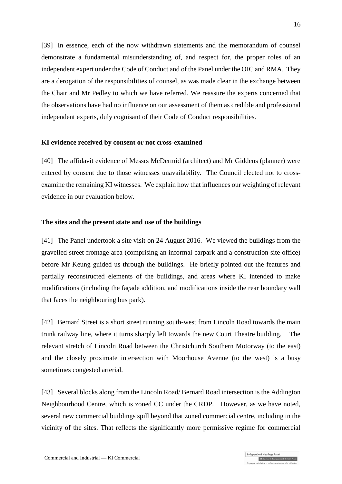[39] In essence, each of the now withdrawn statements and the memorandum of counsel demonstrate a fundamental misunderstanding of, and respect for, the proper roles of an independent expert under the Code of Conduct and of the Panel under the OIC and RMA. They are a derogation of the responsibilities of counsel, as was made clear in the exchange between the Chair and Mr Pedley to which we have referred. We reassure the experts concerned that the observations have had no influence on our assessment of them as credible and professional independent experts, duly cognisant of their Code of Conduct responsibilities.

#### **KI evidence received by consent or not cross-examined**

[40] The affidavit evidence of Messrs McDermid (architect) and Mr Giddens (planner) were entered by consent due to those witnesses unavailability. The Council elected not to crossexamine the remaining KI witnesses. We explain how that influences our weighting of relevant evidence in our evaluation below.

#### **The sites and the present state and use of the buildings**

[41] The Panel undertook a site visit on 24 August 2016. We viewed the buildings from the gravelled street frontage area (comprising an informal carpark and a construction site office) before Mr Keung guided us through the buildings. He briefly pointed out the features and partially reconstructed elements of the buildings, and areas where KI intended to make modifications (including the façade addition, and modifications inside the rear boundary wall that faces the neighbouring bus park).

[42] Bernard Street is a short street running south-west from Lincoln Road towards the main trunk railway line, where it turns sharply left towards the new Court Theatre building. The relevant stretch of Lincoln Road between the Christchurch Southern Motorway (to the east) and the closely proximate intersection with Moorhouse Avenue (to the west) is a busy sometimes congested arterial.

[43] Several blocks along from the Lincoln Road/ Bernard Road intersection is the Addington Neighbourhood Centre, which is zoned CC under the CRDP. However, as we have noted, several new commercial buildings spill beyond that zoned commercial centre, including in the vicinity of the sites. That reflects the significantly more permissive regime for commercial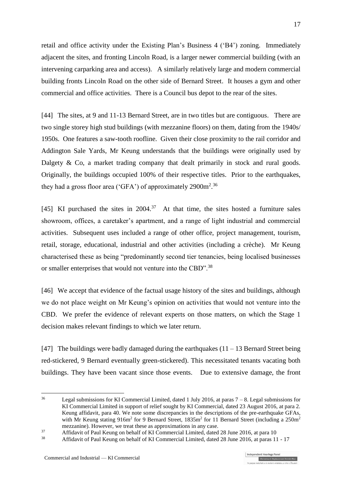retail and office activity under the Existing Plan's Business 4 ('B4') zoning. Immediately adjacent the sites, and fronting Lincoln Road, is a larger newer commercial building (with an intervening carparking area and access). A similarly relatively large and modern commercial building fronts Lincoln Road on the other side of Bernard Street. It houses a gym and other commercial and office activities. There is a Council bus depot to the rear of the sites.

[44] The sites, at 9 and 11-13 Bernard Street, are in two titles but are contiguous. There are two single storey high stud buildings (with mezzanine floors) on them, dating from the 1940s/ 1950s. One features a saw-tooth roofline. Given their close proximity to the rail corridor and Addington Sale Yards, Mr Keung understands that the buildings were originally used by Dalgety & Co, a market trading company that dealt primarily in stock and rural goods. Originally, the buildings occupied 100% of their respective titles. Prior to the earthquakes, they had a gross floor area ('GFA') of approximately  $2900 \text{m}^2$ <sup>36</sup>

[45] KI purchased the sites in  $2004$ .<sup>37</sup> At that time, the sites hosted a furniture sales showroom, offices, a caretaker's apartment, and a range of light industrial and commercial activities. Subsequent uses included a range of other office, project management, tourism, retail, storage, educational, industrial and other activities (including a crèche). Mr Keung characterised these as being "predominantly second tier tenancies, being localised businesses or smaller enterprises that would not venture into the CBD".<sup>38</sup>

[46] We accept that evidence of the factual usage history of the sites and buildings, although we do not place weight on Mr Keung's opinion on activities that would not venture into the CBD. We prefer the evidence of relevant experts on those matters, on which the Stage 1 decision makes relevant findings to which we later return.

[47] The buildings were badly damaged during the earthquakes  $(11 - 13$  Bernard Street being red-stickered, 9 Bernard eventually green-stickered). This necessitated tenants vacating both buildings. They have been vacant since those events. Due to extensive damage, the front

<sup>&</sup>lt;sup>36</sup> Legal submissions for KI Commercial Limited, dated 1 July 2016, at paras  $7 - 8$ . Legal submissions for KI Commercial Limited in support of relief sought by KI Commercial, dated 23 August 2016, at para 2. Keung affidavit, para 40. We note some discrepancies in the descriptions of the pre-earthquake GFAs, with Mr Keung stating  $916m^2$  for 9 Bernard Street,  $1835m^2$  for 11 Bernard Street (including a  $250m^2$ mezzanine). However, we treat these as approximations in any case.

 $\frac{37}{138}$  Affidavit of Paul Keung on behalf of KI Commercial Limited, dated 28 June 2016, at para 10

<sup>38</sup> Affidavit of Paul Keung on behalf of KI Commercial Limited, dated 28 June 2016, at paras 11 - 17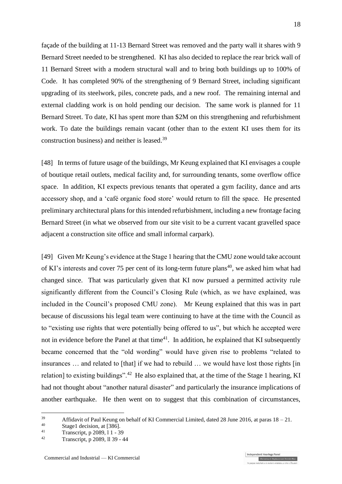façade of the building at 11-13 Bernard Street was removed and the party wall it shares with 9 Bernard Street needed to be strengthened. KI has also decided to replace the rear brick wall of 11 Bernard Street with a modern structural wall and to bring both buildings up to 100% of Code. It has completed 90% of the strengthening of 9 Bernard Street, including significant upgrading of its steelwork, piles, concrete pads, and a new roof. The remaining internal and external cladding work is on hold pending our decision. The same work is planned for 11 Bernard Street. To date, KI has spent more than \$2M on this strengthening and refurbishment work. To date the buildings remain vacant (other than to the extent KI uses them for its construction business) and neither is leased. 39

[48] In terms of future usage of the buildings, Mr Keung explained that KI envisages a couple of boutique retail outlets, medical facility and, for surrounding tenants, some overflow office space. In addition, KI expects previous tenants that operated a gym facility, dance and arts accessory shop, and a 'café organic food store' would return to fill the space. He presented preliminary architectural plans for this intended refurbishment, including a new frontage facing Bernard Street (in what we observed from our site visit to be a current vacant gravelled space adjacent a construction site office and small informal carpark).

[49] Given Mr Keung's evidence at the Stage 1 hearing that the CMU zone would take account of KI's interests and cover 75 per cent of its long-term future plans<sup>40</sup>, we asked him what had changed since. That was particularly given that KI now pursued a permitted activity rule significantly different from the Council's Closing Rule (which, as we have explained, was included in the Council's proposed CMU zone). Mr Keung explained that this was in part because of discussions his legal team were continuing to have at the time with the Council as to "existing use rights that were potentially being offered to us", but which he accepted were not in evidence before the Panel at that time<sup>41</sup>. In addition, he explained that KI subsequently became concerned that the "old wording" would have given rise to problems "related to insurances … and related to [that] if we had to rebuild … we would have lost those rights [in relation] to existing buildings".<sup>42</sup> He also explained that, at the time of the Stage 1 hearing, KI had not thought about "another natural disaster" and particularly the insurance implications of another earthquake. He then went on to suggest that this combination of circumstances,

<sup>39</sup> <sup>39</sup> Affidavit of Paul Keung on behalf of KI Commercial Limited, dated 28 June 2016, at paras  $18 - 21$ .

 $^{40}$  Stage1 decision, at [386].

 $\frac{41}{42}$  Transcript, p 2089, 1 1 - 39

<sup>42</sup> Transcript, p 2089, ll 39 - 44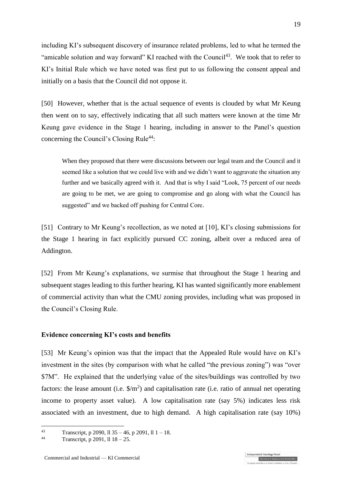including KI's subsequent discovery of insurance related problems, led to what he termed the "amicable solution and way forward" KI reached with the Council<sup>43</sup>. We took that to refer to KI's Initial Rule which we have noted was first put to us following the consent appeal and initially on a basis that the Council did not oppose it.

[50] However, whether that is the actual sequence of events is clouded by what Mr Keung then went on to say, effectively indicating that all such matters were known at the time Mr Keung gave evidence in the Stage 1 hearing, including in answer to the Panel's question concerning the Council's Closing Rule<sup>44</sup>:

When they proposed that there were discussions between our legal team and the Council and it seemed like a solution that we could live with and we didn't want to aggravate the situation any further and we basically agreed with it. And that is why I said "Look, 75 percent of our needs are going to be met, we are going to compromise and go along with what the Council has suggested" and we backed off pushing for Central Core.

[51] Contrary to Mr Keung's recollection, as we noted at [10], KI's closing submissions for the Stage 1 hearing in fact explicitly pursued CC zoning, albeit over a reduced area of Addington.

[52] From Mr Keung's explanations, we surmise that throughout the Stage 1 hearing and subsequent stages leading to this further hearing, KI has wanted significantly more enablement of commercial activity than what the CMU zoning provides, including what was proposed in the Council's Closing Rule.

#### **Evidence concerning KI's costs and benefits**

[53] Mr Keung's opinion was that the impact that the Appealed Rule would have on KI's investment in the sites (by comparison with what he called "the previous zoning") was "over \$7M". He explained that the underlying value of the sites/buildings was controlled by two factors: the lease amount (i.e.  $\frac{\pi}{2}$ ) and capitalisation rate (i.e. ratio of annual net operating income to property asset value). A low capitalisation rate (say 5%) indicates less risk associated with an investment, due to high demand. A high capitalisation rate (say 10%)

<sup>&</sup>lt;sup>43</sup><br>Transcript, p 2090, ll 35 – 46, p 2091, ll 1 – 18.<br>Transcript, p 2001, ll 18 – 25.

Transcript, p 2091, ll  $18 - 25$ .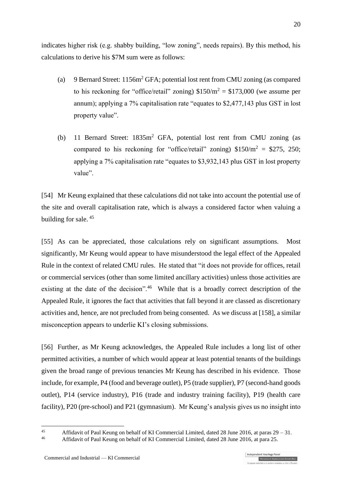indicates higher risk (e.g. shabby building, "low zoning", needs repairs). By this method, his calculations to derive his \$7M sum were as follows:

- (a) 9 Bernard Street: 1156m<sup>2</sup> GFA; potential lost rent from CMU zoning (as compared to his reckoning for "office/retail" zoning)  $$150/m^2 = $173,000$  (we assume per annum); applying a 7% capitalisation rate "equates to \$2,477,143 plus GST in lost property value".
- (b) 11 Bernard Street: 1835m<sup>2</sup> GFA, potential lost rent from CMU zoning (as compared to his reckoning for "office/retail" zoning)  $$150/m^2 = $275, 250;$ applying a 7% capitalisation rate "equates to \$3,932,143 plus GST in lost property value".

[54] Mr Keung explained that these calculations did not take into account the potential use of the site and overall capitalisation rate, which is always a considered factor when valuing a building for sale. <sup>45</sup>

[55] As can be appreciated, those calculations rely on significant assumptions. Most significantly, Mr Keung would appear to have misunderstood the legal effect of the Appealed Rule in the context of related CMU rules. He stated that "it does not provide for offices, retail or commercial services (other than some limited ancillary activities) unless those activities are existing at the date of the decision".<sup>46</sup> While that is a broadly correct description of the Appealed Rule, it ignores the fact that activities that fall beyond it are classed as discretionary activities and, hence, are not precluded from being consented. As we discuss a[t \[158\],](#page-44-0) a similar misconception appears to underlie KI's closing submissions.

[56] Further, as Mr Keung acknowledges, the Appealed Rule includes a long list of other permitted activities, a number of which would appear at least potential tenants of the buildings given the broad range of previous tenancies Mr Keung has described in his evidence. Those include, for example, P4 (food and beverage outlet), P5 (trade supplier), P7 (second-hand goods outlet), P14 (service industry), P16 (trade and industry training facility), P19 (health care facility), P20 (pre-school) and P21 (gymnasium). Mr Keung's analysis gives us no insight into

<sup>&</sup>lt;sup>45</sup><br>Affidavit of Paul Keung on behalf of KI Commercial Limited, dated 28 June 2016, at paras  $29 - 31$ .<br>Affidavit of Paul Keung on behalf of KI Commercial Limited, dated 28 June 2016, at para  $25$ .

<sup>46</sup> Affidavit of Paul Keung on behalf of KI Commercial Limited, dated 28 June 2016, at para 25.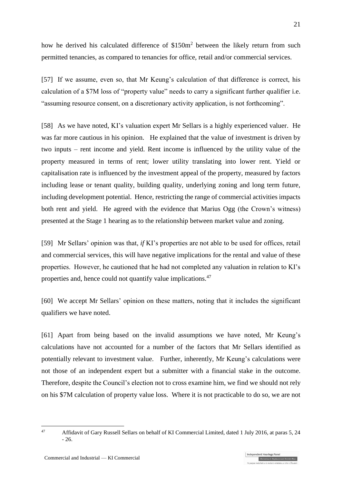how he derived his calculated difference of \$150m<sup>2</sup> between the likely return from such permitted tenancies, as compared to tenancies for office, retail and/or commercial services.

[57] If we assume, even so, that Mr Keung's calculation of that difference is correct, his calculation of a \$7M loss of "property value" needs to carry a significant further qualifier i.e. "assuming resource consent, on a discretionary activity application, is not forthcoming".

[58] As we have noted, KI's valuation expert Mr Sellars is a highly experienced valuer. He was far more cautious in his opinion. He explained that the value of investment is driven by two inputs – rent income and yield. Rent income is influenced by the utility value of the property measured in terms of rent; lower utility translating into lower rent. Yield or capitalisation rate is influenced by the investment appeal of the property, measured by factors including lease or tenant quality, building quality, underlying zoning and long term future, including development potential. Hence, restricting the range of commercial activities impacts both rent and yield. He agreed with the evidence that Marius Ogg (the Crown's witness) presented at the Stage 1 hearing as to the relationship between market value and zoning.

[59] Mr Sellars' opinion was that, *if* KI's properties are not able to be used for offices, retail and commercial services, this will have negative implications for the rental and value of these properties. However, he cautioned that he had not completed any valuation in relation to KI's properties and, hence could not quantify value implications.<sup>47</sup>

[60] We accept Mr Sellars' opinion on these matters, noting that it includes the significant qualifiers we have noted.

[61] Apart from being based on the invalid assumptions we have noted, Mr Keung's calculations have not accounted for a number of the factors that Mr Sellars identified as potentially relevant to investment value. Further, inherently, Mr Keung's calculations were not those of an independent expert but a submitter with a financial stake in the outcome. Therefore, despite the Council's election not to cross examine him, we find we should not rely on his \$7M calculation of property value loss. Where it is not practicable to do so, we are not

<sup>&</sup>lt;sup>47</sup> Affidavit of Gary Russell Sellars on behalf of KI Commercial Limited, dated 1 July 2016, at paras 5, 24 - 26.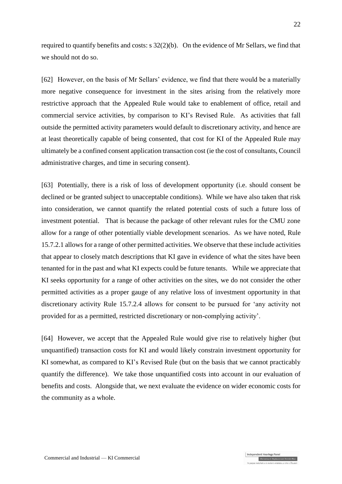required to quantify benefits and costs: s 32(2)(b). On the evidence of Mr Sellars, we find that we should not do so.

<span id="page-21-0"></span>[62] However, on the basis of Mr Sellars' evidence, we find that there would be a materially more negative consequence for investment in the sites arising from the relatively more restrictive approach that the Appealed Rule would take to enablement of office, retail and commercial service activities, by comparison to KI's Revised Rule. As activities that fall outside the permitted activity parameters would default to discretionary activity, and hence are at least theoretically capable of being consented, that cost for KI of the Appealed Rule may ultimately be a confined consent application transaction cost (ie the cost of consultants, Council administrative charges, and time in securing consent).

[63] Potentially, there is a risk of loss of development opportunity (i.e. should consent be declined or be granted subject to unacceptable conditions). While we have also taken that risk into consideration, we cannot quantify the related potential costs of such a future loss of investment potential. That is because the package of other relevant rules for the CMU zone allow for a range of other potentially viable development scenarios. As we have noted, Rule 15.7.2.1 allows for a range of other permitted activities. We observe that these include activities that appear to closely match descriptions that KI gave in evidence of what the sites have been tenanted for in the past and what KI expects could be future tenants. While we appreciate that KI seeks opportunity for a range of other activities on the sites, we do not consider the other permitted activities as a proper gauge of any relative loss of investment opportunity in that discretionary activity Rule 15.7.2.4 allows for consent to be pursued for 'any activity not provided for as a permitted, restricted discretionary or non-complying activity'.

<span id="page-21-1"></span>[64] However, we accept that the Appealed Rule would give rise to relatively higher (but unquantified) transaction costs for KI and would likely constrain investment opportunity for KI somewhat, as compared to KI's Revised Rule (but on the basis that we cannot practicably quantify the difference). We take those unquantified costs into account in our evaluation of benefits and costs. Alongside that, we next evaluate the evidence on wider economic costs for the community as a whole.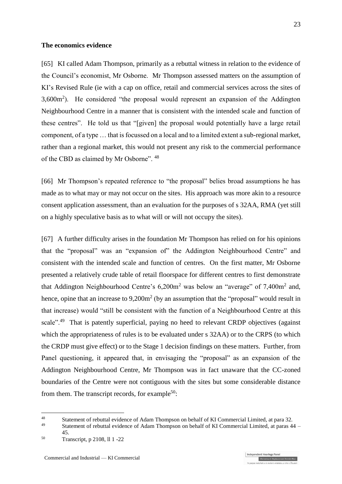#### **The economics evidence**

[65] KI called Adam Thompson, primarily as a rebuttal witness in relation to the evidence of the Council's economist, Mr Osborne. Mr Thompson assessed matters on the assumption of KI's Revised Rule (ie with a cap on office, retail and commercial services across the sites of 3,600m<sup>2</sup> ). He considered "the proposal would represent an expansion of the Addington Neighbourhood Centre in a manner that is consistent with the intended scale and function of these centres". He told us that "[given] the proposal would potentially have a large retail component, of a type … that is focussed on a local and to a limited extent a sub-regional market, rather than a regional market, this would not present any risk to the commercial performance of the CBD as claimed by Mr Osborne". <sup>48</sup>

[66] Mr Thompson's repeated reference to "the proposal" belies broad assumptions he has made as to what may or may not occur on the sites. His approach was more akin to a resource consent application assessment, than an evaluation for the purposes of s 32AA, RMA (yet still on a highly speculative basis as to what will or will not occupy the sites).

[67] A further difficulty arises in the foundation Mr Thompson has relied on for his opinions that the "proposal" was an "expansion of" the Addington Neighbourhood Centre" and consistent with the intended scale and function of centres. On the first matter, Mr Osborne presented a relatively crude table of retail floorspace for different centres to first demonstrate that Addington Neighbourhood Centre's  $6,200m^2$  was below an "average" of 7,400 $m^2$  and, hence, opine that an increase to  $9,200m^2$  (by an assumption that the "proposal" would result in that increase) would "still be consistent with the function of a Neighbourhood Centre at this scale".<sup>49</sup> That is patently superficial, paying no heed to relevant CRDP objectives (against which the appropriateness of rules is to be evaluated under s 32AA) or to the CRPS (to which the CRDP must give effect) or to the Stage 1 decision findings on these matters. Further, from Panel questioning, it appeared that, in envisaging the "proposal" as an expansion of the Addington Neighbourhood Centre, Mr Thompson was in fact unaware that the CC-zoned boundaries of the Centre were not contiguous with the sites but some considerable distance from them. The transcript records, for example<sup>50</sup>:

<sup>48</sup> <sup>48</sup><br>Statement of rebuttal evidence of Adam Thompson on behalf of KI Commercial Limited, at para 32.

<sup>49</sup> Statement of rebuttal evidence of Adam Thompson on behalf of KI Commercial Limited, at paras 44 – 45.

<sup>50</sup> Transcript, p 2108, ll 1 -22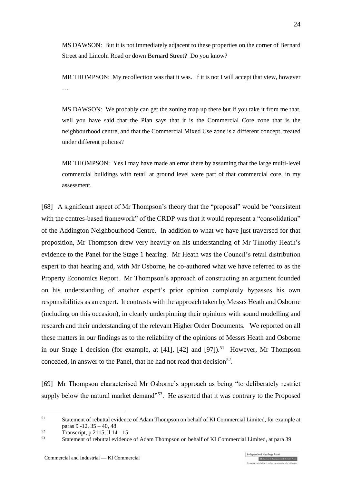MS DAWSON: But it is not immediately adjacent to these properties on the corner of Bernard Street and Lincoln Road or down Bernard Street? Do you know?

MR THOMPSON: My recollection was that it was. If it is not I will accept that view, however …

MS DAWSON: We probably can get the zoning map up there but if you take it from me that, well you have said that the Plan says that it is the Commercial Core zone that is the neighbourhood centre, and that the Commercial Mixed Use zone is a different concept, treated under different policies?

MR THOMPSON: Yes I may have made an error there by assuming that the large multi-level commercial buildings with retail at ground level were part of that commercial core, in my assessment.

[68] A significant aspect of Mr Thompson's theory that the "proposal" would be "consistent with the centres-based framework" of the CRDP was that it would represent a "consolidation" of the Addington Neighbourhood Centre. In addition to what we have just traversed for that proposition, Mr Thompson drew very heavily on his understanding of Mr Timothy Heath's evidence to the Panel for the Stage 1 hearing. Mr Heath was the Council's retail distribution expert to that hearing and, with Mr Osborne, he co-authored what we have referred to as the Property Economics Report. Mr Thompson's approach of constructing an argument founded on his understanding of another expert's prior opinion completely bypasses his own responsibilities as an expert. It contrasts with the approach taken by Messrs Heath and Osborne (including on this occasion), in clearly underpinning their opinions with sound modelling and research and their understanding of the relevant Higher Order Documents. We reported on all these matters in our findings as to the reliability of the opinions of Messrs Heath and Osborne in our Stage 1 decision (for example, at  $[41]$ ,  $[42]$  and  $[97]$ ).<sup>51</sup> However, Mr Thompson conceded, in answer to the Panel, that he had not read that decision<sup>52</sup>.

[69] Mr Thompson characterised Mr Osborne's approach as being "to deliberately restrict supply below the natural market demand<sup>"53</sup>. He asserted that it was contrary to the Proposed

 $51$ <sup>51</sup> Statement of rebuttal evidence of Adam Thompson on behalf of KI Commercial Limited, for example at paras 9 -12, 35 – 40, 48.

 $\frac{52}{53}$  Transcript, p 2115, ll 14 - 15

<sup>53</sup> Statement of rebuttal evidence of Adam Thompson on behalf of KI Commercial Limited, at para 39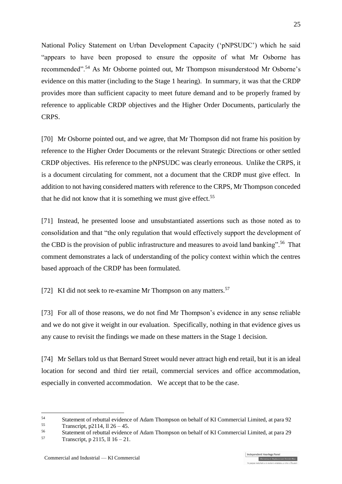National Policy Statement on Urban Development Capacity ('pNPSUDC') which he said "appears to have been proposed to ensure the opposite of what Mr Osborne has recommended".<sup>54</sup> As Mr Osborne pointed out, Mr Thompson misunderstood Mr Osborne's evidence on this matter (including to the Stage 1 hearing). In summary, it was that the CRDP provides more than sufficient capacity to meet future demand and to be properly framed by reference to applicable CRDP objectives and the Higher Order Documents, particularly the CRPS.

[70] Mr Osborne pointed out, and we agree, that Mr Thompson did not frame his position by reference to the Higher Order Documents or the relevant Strategic Directions or other settled CRDP objectives. His reference to the pNPSUDC was clearly erroneous. Unlike the CRPS, it is a document circulating for comment, not a document that the CRDP must give effect. In addition to not having considered matters with reference to the CRPS, Mr Thompson conceded that he did not know that it is something we must give effect.<sup>55</sup>

[71] Instead, he presented loose and unsubstantiated assertions such as those noted as to consolidation and that "the only regulation that would effectively support the development of the CBD is the provision of public infrastructure and measures to avoid land banking".<sup>56</sup> That comment demonstrates a lack of understanding of the policy context within which the centres based approach of the CRDP has been formulated.

[72] KI did not seek to re-examine Mr Thompson on any matters.<sup>57</sup>

[73] For all of those reasons, we do not find Mr Thompson's evidence in any sense reliable and we do not give it weight in our evaluation. Specifically, nothing in that evidence gives us any cause to revisit the findings we made on these matters in the Stage 1 decision.

[74] Mr Sellars told us that Bernard Street would never attract high end retail, but it is an ideal location for second and third tier retail, commercial services and office accommodation, especially in converted accommodation. We accept that to be the case.

<sup>54</sup> 54 Statement of rebuttal evidence of Adam Thompson on behalf of KI Commercial Limited, at para 92<br> $\frac{55}{2}$  Transcript, p2114, ll 26 – 45

 $55$  Transcript, p2114, ll 26 – 45.

<sup>&</sup>lt;sup>56</sup> Statement of rebuttal evidence of Adam Thompson on behalf of KI Commercial Limited, at para 29<br>
Transmitt a 2115, 1116, 21

<sup>57</sup> Transcript, p 2115, ll 16 – 21.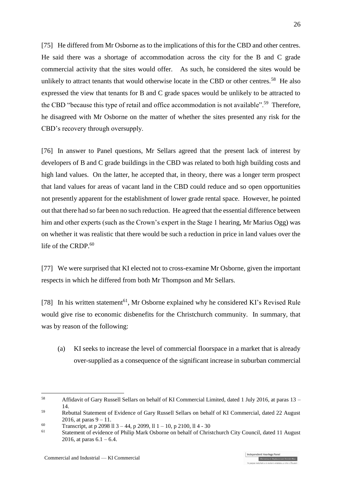[75] He differed from Mr Osborne as to the implications of this for the CBD and other centres. He said there was a shortage of accommodation across the city for the B and C grade commercial activity that the sites would offer. As such, he considered the sites would be unlikely to attract tenants that would otherwise locate in the CBD or other centres.<sup>58</sup> He also expressed the view that tenants for B and C grade spaces would be unlikely to be attracted to the CBD "because this type of retail and office accommodation is not available".<sup>59</sup> Therefore, he disagreed with Mr Osborne on the matter of whether the sites presented any risk for the CBD's recovery through oversupply.

[76] In answer to Panel questions, Mr Sellars agreed that the present lack of interest by developers of B and C grade buildings in the CBD was related to both high building costs and high land values. On the latter, he accepted that, in theory, there was a longer term prospect that land values for areas of vacant land in the CBD could reduce and so open opportunities not presently apparent for the establishment of lower grade rental space. However, he pointed out that there had so far been no such reduction. He agreed that the essential difference between him and other experts (such as the Crown's expert in the Stage 1 hearing, Mr Marius Ogg) was on whether it was realistic that there would be such a reduction in price in land values over the life of the CRDP.<sup>60</sup>

[77] We were surprised that KI elected not to cross-examine Mr Osborne, given the important respects in which he differed from both Mr Thompson and Mr Sellars.

[78] In his written statement<sup>61</sup>, Mr Osborne explained why he considered KI's Revised Rule would give rise to economic disbenefits for the Christchurch community. In summary, that was by reason of the following:

(a) KI seeks to increase the level of commercial floorspace in a market that is already over-supplied as a consequence of the significant increase in suburban commercial

<sup>1</sup> <sup>58</sup> Affidavit of Gary Russell Sellars on behalf of KI Commercial Limited, dated 1 July 2016, at paras 13 – 14.

<sup>59</sup> Rebuttal Statement of Evidence of Gary Russell Sellars on behalf of KI Commercial, dated 22 August 2016, at paras  $9 - 11$ .

<sup>&</sup>lt;sup>60</sup><br>
Transcript, at p 2098 ll 3 – 44, p 2099, ll 1 – 10, p 2100, ll 4 - 30<br>
Statement of oxidence of Philip Merk Ocherne on hebelf of Chris

Statement of evidence of Philip Mark Osborne on behalf of Christchurch City Council, dated 11 August 2016, at paras  $6.1 - 6.4$ .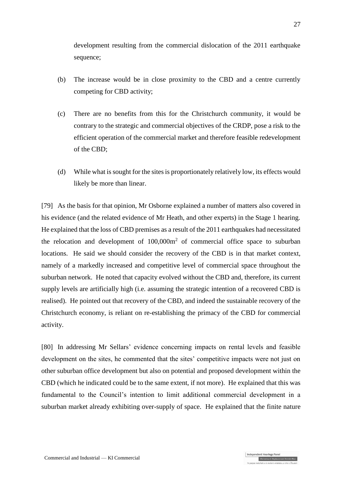development resulting from the commercial dislocation of the 2011 earthquake sequence;

- (b) The increase would be in close proximity to the CBD and a centre currently competing for CBD activity;
- (c) There are no benefits from this for the Christchurch community, it would be contrary to the strategic and commercial objectives of the CRDP, pose a risk to the efficient operation of the commercial market and therefore feasible redevelopment of the CBD;
- (d) While what is sought for the sites is proportionately relatively low, its effects would likely be more than linear.

[79] As the basis for that opinion, Mr Osborne explained a number of matters also covered in his evidence (and the related evidence of Mr Heath, and other experts) in the Stage 1 hearing. He explained that the loss of CBD premises as a result of the 2011 earthquakes had necessitated the relocation and development of  $100,000m^2$  of commercial office space to suburban locations. He said we should consider the recovery of the CBD is in that market context, namely of a markedly increased and competitive level of commercial space throughout the suburban network. He noted that capacity evolved without the CBD and, therefore, its current supply levels are artificially high (i.e. assuming the strategic intention of a recovered CBD is realised). He pointed out that recovery of the CBD, and indeed the sustainable recovery of the Christchurch economy, is reliant on re-establishing the primacy of the CBD for commercial activity.

<span id="page-26-0"></span>[80] In addressing Mr Sellars' evidence concerning impacts on rental levels and feasible development on the sites, he commented that the sites' competitive impacts were not just on other suburban office development but also on potential and proposed development within the CBD (which he indicated could be to the same extent, if not more). He explained that this was fundamental to the Council's intention to limit additional commercial development in a suburban market already exhibiting over-supply of space. He explained that the finite nature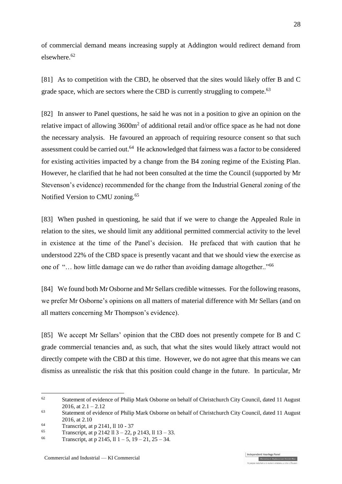of commercial demand means increasing supply at Addington would redirect demand from elsewhere.<sup>62</sup>

[81] As to competition with the CBD, he observed that the sites would likely offer B and C grade space, which are sectors where the CBD is currently struggling to compete.<sup>63</sup>

[82] In answer to Panel questions, he said he was not in a position to give an opinion on the relative impact of allowing  $3600m^2$  of additional retail and/or office space as he had not done the necessary analysis. He favoured an approach of requiring resource consent so that such assessment could be carried out.<sup>64</sup> He acknowledged that fairness was a factor to be considered for existing activities impacted by a change from the B4 zoning regime of the Existing Plan. However, he clarified that he had not been consulted at the time the Council (supported by Mr Stevenson's evidence) recommended for the change from the Industrial General zoning of the Notified Version to CMU zoning.<sup>65</sup>

[83] When pushed in questioning, he said that if we were to change the Appealed Rule in relation to the sites, we should limit any additional permitted commercial activity to the level in existence at the time of the Panel's decision. He prefaced that with caution that he understood 22% of the CBD space is presently vacant and that we should view the exercise as one of "... how little damage can we do rather than avoiding damage altogether.."<sup>66</sup>

[84] We found both Mr Osborne and Mr Sellars credible witnesses. For the following reasons, we prefer Mr Osborne's opinions on all matters of material difference with Mr Sellars (and on all matters concerning Mr Thompson's evidence).

[85] We accept Mr Sellars' opinion that the CBD does not presently compete for B and C grade commercial tenancies and, as such, that what the sites would likely attract would not directly compete with the CBD at this time. However, we do not agree that this means we can dismiss as unrealistic the risk that this position could change in the future. In particular, Mr

<sup>&</sup>lt;sup>62</sup> Statement of evidence of Philip Mark Osborne on behalf of Christchurch City Council, dated 11 August 2016, at  $2.1 - 2.12$ 

<sup>63</sup> Statement of evidence of Philip Mark Osborne on behalf of Christchurch City Council, dated 11 August 2016, at 2.10

 $^{64}$  Transcript, at p 2141, ll 10 - 37

<sup>65</sup> Transcript, at p 2142 ll 3 – 22, p 2143, ll 13 – 33.

<sup>66</sup> Transcript, at p 2145,  $111 - 5$ ,  $19 - 21$ ,  $25 - 34$ .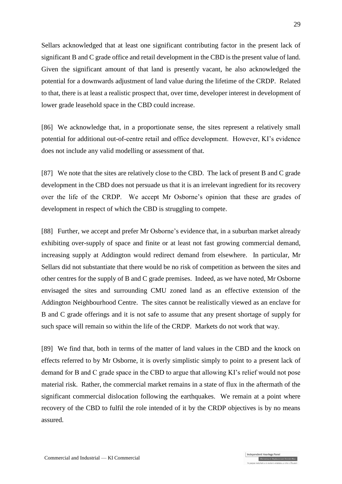Sellars acknowledged that at least one significant contributing factor in the present lack of significant B and C grade office and retail development in the CBD is the present value of land. Given the significant amount of that land is presently vacant, he also acknowledged the potential for a downwards adjustment of land value during the lifetime of the CRDP. Related to that, there is at least a realistic prospect that, over time, developer interest in development of lower grade leasehold space in the CBD could increase.

[86] We acknowledge that, in a proportionate sense, the sites represent a relatively small potential for additional out-of-centre retail and office development. However, KI's evidence does not include any valid modelling or assessment of that.

[87] We note that the sites are relatively close to the CBD. The lack of present B and C grade development in the CBD does not persuade us that it is an irrelevant ingredient for its recovery over the life of the CRDP. We accept Mr Osborne's opinion that these are grades of development in respect of which the CBD is struggling to compete.

<span id="page-28-0"></span>[88] Further, we accept and prefer Mr Osborne's evidence that, in a suburban market already exhibiting over-supply of space and finite or at least not fast growing commercial demand, increasing supply at Addington would redirect demand from elsewhere. In particular, Mr Sellars did not substantiate that there would be no risk of competition as between the sites and other centres for the supply of B and C grade premises. Indeed, as we have noted, Mr Osborne envisaged the sites and surrounding CMU zoned land as an effective extension of the Addington Neighbourhood Centre. The sites cannot be realistically viewed as an enclave for B and C grade offerings and it is not safe to assume that any present shortage of supply for such space will remain so within the life of the CRDP. Markets do not work that way.

[89] We find that, both in terms of the matter of land values in the CBD and the knock on effects referred to by Mr Osborne, it is overly simplistic simply to point to a present lack of demand for B and C grade space in the CBD to argue that allowing KI's relief would not pose material risk. Rather, the commercial market remains in a state of flux in the aftermath of the significant commercial dislocation following the earthquakes. We remain at a point where recovery of the CBD to fulfil the role intended of it by the CRDP objectives is by no means assured.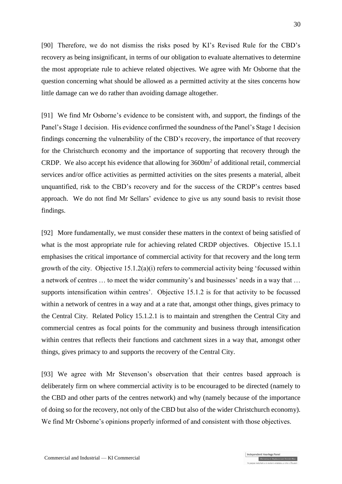[90] Therefore, we do not dismiss the risks posed by KI's Revised Rule for the CBD's recovery as being insignificant, in terms of our obligation to evaluate alternatives to determine the most appropriate rule to achieve related objectives. We agree with Mr Osborne that the question concerning what should be allowed as a permitted activity at the sites concerns how little damage can we do rather than avoiding damage altogether.

[91] We find Mr Osborne's evidence to be consistent with, and support, the findings of the Panel's Stage 1 decision. His evidence confirmed the soundness of the Panel's Stage 1 decision findings concerning the vulnerability of the CBD's recovery, the importance of that recovery for the Christchurch economy and the importance of supporting that recovery through the CRDP. We also accept his evidence that allowing for  $3600m<sup>2</sup>$  of additional retail, commercial services and/or office activities as permitted activities on the sites presents a material, albeit unquantified, risk to the CBD's recovery and for the success of the CRDP's centres based approach. We do not find Mr Sellars' evidence to give us any sound basis to revisit those findings.

[92] More fundamentally, we must consider these matters in the context of being satisfied of what is the most appropriate rule for achieving related CRDP objectives. Objective 15.1.1 emphasises the critical importance of commercial activity for that recovery and the long term growth of the city. Objective 15.1.2(a)(i) refers to commercial activity being 'focussed within a network of centres … to meet the wider community's and businesses' needs in a way that … supports intensification within centres'. Objective 15.1.2 is for that activity to be focussed within a network of centres in a way and at a rate that, amongst other things, gives primacy to the Central City. Related Policy 15.1.2.1 is to maintain and strengthen the Central City and commercial centres as focal points for the community and business through intensification within centres that reflects their functions and catchment sizes in a way that, amongst other things, gives primacy to and supports the recovery of the Central City.

[93] We agree with Mr Stevenson's observation that their centres based approach is deliberately firm on where commercial activity is to be encouraged to be directed (namely to the CBD and other parts of the centres network) and why (namely because of the importance of doing so for the recovery, not only of the CBD but also of the wider Christchurch economy). We find Mr Osborne's opinions properly informed of and consistent with those objectives.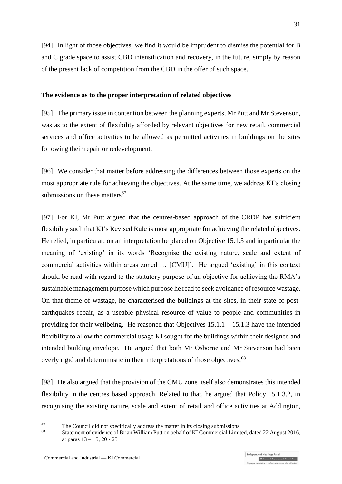<span id="page-30-0"></span>[94] In light of those objectives, we find it would be imprudent to dismiss the potential for B and C grade space to assist CBD intensification and recovery, in the future, simply by reason of the present lack of competition from the CBD in the offer of such space.

#### **The evidence as to the proper interpretation of related objectives**

[95] The primary issue in contention between the planning experts, Mr Putt and Mr Stevenson, was as to the extent of flexibility afforded by relevant objectives for new retail, commercial services and office activities to be allowed as permitted activities in buildings on the sites following their repair or redevelopment.

[96] We consider that matter before addressing the differences between those experts on the most appropriate rule for achieving the objectives. At the same time, we address KI's closing submissions on these matters<sup>67</sup>.

[97] For KI, Mr Putt argued that the centres-based approach of the CRDP has sufficient flexibility such that KI's Revised Rule is most appropriate for achieving the related objectives. He relied, in particular, on an interpretation he placed on Objective 15.1.3 and in particular the meaning of 'existing' in its words 'Recognise the existing nature, scale and extent of commercial activities within areas zoned … [CMU]'. He argued 'existing' in this context should be read with regard to the statutory purpose of an objective for achieving the RMA's sustainable management purpose which purpose he read to seek avoidance of resource wastage. On that theme of wastage, he characterised the buildings at the sites, in their state of postearthquakes repair, as a useable physical resource of value to people and communities in providing for their wellbeing. He reasoned that Objectives 15.1.1 – 15.1.3 have the intended flexibility to allow the commercial usage KI sought for the buildings within their designed and intended building envelope. He argued that both Mr Osborne and Mr Stevenson had been overly rigid and deterministic in their interpretations of those objectives.<sup>68</sup>

[98] He also argued that the provision of the CMU zone itself also demonstrates this intended flexibility in the centres based approach. Related to that, he argued that Policy 15.1.3.2, in recognising the existing nature, scale and extent of retail and office activities at Addington,

<sup>67</sup> <sup>67</sup> The Council did not specifically address the matter in its closing submissions.<br><sup>68</sup> Statement of ovidence of Prior William Dutt on hebelf of KLCommandial Limit

<sup>68</sup> Statement of evidence of Brian William Putt on behalf of KI Commercial Limited, dated 22 August 2016, at paras 13 – 15, 20 - 25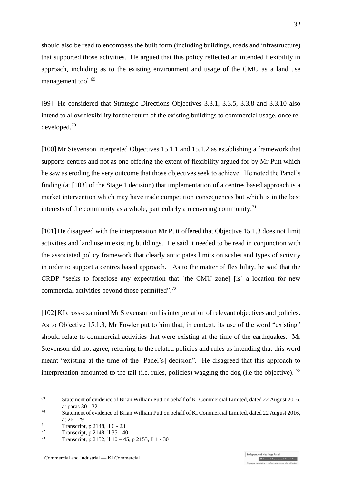should also be read to encompass the built form (including buildings, roads and infrastructure) that supported those activities. He argued that this policy reflected an intended flexibility in approach, including as to the existing environment and usage of the CMU as a land use management tool.<sup>69</sup>

[99] He considered that Strategic Directions Objectives 3.3.1, 3.3.5, 3.3.8 and 3.3.10 also intend to allow flexibility for the return of the existing buildings to commercial usage, once redeveloped.<sup>70</sup>

[100] Mr Stevenson interpreted Objectives 15.1.1 and 15.1.2 as establishing a framework that supports centres and not as one offering the extent of flexibility argued for by Mr Putt which he saw as eroding the very outcome that those objectives seek to achieve. He noted the Panel's finding (at [103] of the Stage 1 decision) that implementation of a centres based approach is a market intervention which may have trade competition consequences but which is in the best interests of the community as a whole, particularly a recovering community.<sup>71</sup>

[101] He disagreed with the interpretation Mr Putt offered that Objective 15.1.3 does not limit activities and land use in existing buildings. He said it needed to be read in conjunction with the associated policy framework that clearly anticipates limits on scales and types of activity in order to support a centres based approach. As to the matter of flexibility, he said that the CRDP "seeks to foreclose any expectation that [the CMU zone] [is] a location for new commercial activities beyond those permitted".<sup>72</sup>

[102] KI cross-examined Mr Stevenson on his interpretation of relevant objectives and policies. As to Objective 15.1.3, Mr Fowler put to him that, in context, its use of the word "existing" should relate to commercial activities that were existing at the time of the earthquakes. Mr Stevenson did not agree, referring to the related policies and rules as intending that this word meant "existing at the time of the [Panel's] decision". He disagreed that this approach to interpretation amounted to the tail (i.e. rules, policies) wagging the dog (i.e the objective).  $^{73}$ 

<sup>69</sup> Statement of evidence of Brian William Putt on behalf of KI Commercial Limited, dated 22 August 2016, at paras 30 - 32

<sup>70</sup> Statement of evidence of Brian William Putt on behalf of KI Commercial Limited, dated 22 August 2016, at 26 - 29

 $\frac{71}{72}$  Transcript, p 2148, ll 6 - 23

 $\frac{72}{73}$  Transcript, p 2148, ll 35 - 40

Transcript, p 2152, ll 10 – 45, p 2153, ll 1 - 30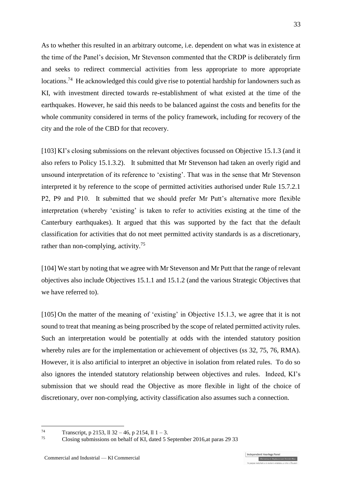As to whether this resulted in an arbitrary outcome, i.e. dependent on what was in existence at the time of the Panel's decision, Mr Stevenson commented that the CRDP is deliberately firm and seeks to redirect commercial activities from less appropriate to more appropriate locations.<sup>74</sup> He acknowledged this could give rise to potential hardship for landowners such as KI, with investment directed towards re-establishment of what existed at the time of the earthquakes. However, he said this needs to be balanced against the costs and benefits for the whole community considered in terms of the policy framework, including for recovery of the city and the role of the CBD for that recovery.

[103] KI's closing submissions on the relevant objectives focussed on Objective 15.1.3 (and it also refers to Policy 15.1.3.2). It submitted that Mr Stevenson had taken an overly rigid and unsound interpretation of its reference to 'existing'. That was in the sense that Mr Stevenson interpreted it by reference to the scope of permitted activities authorised under Rule 15.7.2.1 P2, P9 and P10. It submitted that we should prefer Mr Putt's alternative more flexible interpretation (whereby 'existing' is taken to refer to activities existing at the time of the Canterbury earthquakes). It argued that this was supported by the fact that the default classification for activities that do not meet permitted activity standards is as a discretionary, rather than non-complying, activity.<sup>75</sup>

[104] We start by noting that we agree with Mr Stevenson and Mr Putt that the range of relevant objectives also include Objectives 15.1.1 and 15.1.2 (and the various Strategic Objectives that we have referred to).

[105] On the matter of the meaning of 'existing' in Objective 15.1.3, we agree that it is not sound to treat that meaning as being proscribed by the scope of related permitted activity rules. Such an interpretation would be potentially at odds with the intended statutory position whereby rules are for the implementation or achievement of objectives (ss 32, 75, 76, RMA). However, it is also artificial to interpret an objective in isolation from related rules. To do so also ignores the intended statutory relationship between objectives and rules. Indeed, KI's submission that we should read the Objective as more flexible in light of the choice of discretionary, over non-complying, activity classification also assumes such a connection.

Transcript, p 2153, ll 32 – 46, p 2154, ll 1 – 3.<br>
Closing submissions on bobalf of KL dated 5.5

<sup>75</sup> Closing submissions on behalf of KI, dated 5 September 2016,at paras 29 33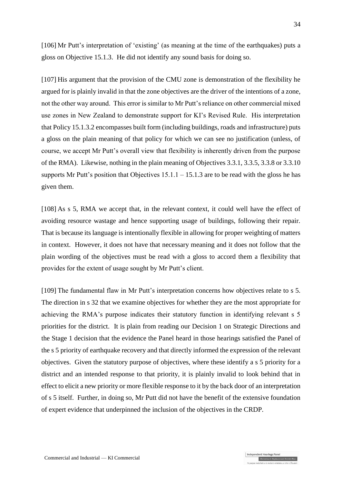[106] Mr Putt's interpretation of 'existing' (as meaning at the time of the earthquakes) puts a gloss on Objective 15.1.3. He did not identify any sound basis for doing so.

[107] His argument that the provision of the CMU zone is demonstration of the flexibility he argued for is plainly invalid in that the zone objectives are the driver of the intentions of a zone, not the other way around. This error is similar to Mr Putt's reliance on other commercial mixed use zones in New Zealand to demonstrate support for KI's Revised Rule. His interpretation that Policy 15.1.3.2 encompasses built form (including buildings, roads and infrastructure) puts a gloss on the plain meaning of that policy for which we can see no justification (unless, of course, we accept Mr Putt's overall view that flexibility is inherently driven from the purpose of the RMA). Likewise, nothing in the plain meaning of Objectives 3.3.1, 3.3.5, 3.3.8 or 3.3.10 supports Mr Putt's position that Objectives  $15.1.1 - 15.1.3$  are to be read with the gloss he has given them.

[108] As s 5, RMA we accept that, in the relevant context, it could well have the effect of avoiding resource wastage and hence supporting usage of buildings, following their repair. That is because its language is intentionally flexible in allowing for proper weighting of matters in context. However, it does not have that necessary meaning and it does not follow that the plain wording of the objectives must be read with a gloss to accord them a flexibility that provides for the extent of usage sought by Mr Putt's client.

[109] The fundamental flaw in Mr Putt's interpretation concerns how objectives relate to s 5. The direction in s 32 that we examine objectives for whether they are the most appropriate for achieving the RMA's purpose indicates their statutory function in identifying relevant s 5 priorities for the district. It is plain from reading our Decision 1 on Strategic Directions and the Stage 1 decision that the evidence the Panel heard in those hearings satisfied the Panel of the s 5 priority of earthquake recovery and that directly informed the expression of the relevant objectives. Given the statutory purpose of objectives, where these identify a s 5 priority for a district and an intended response to that priority, it is plainly invalid to look behind that in effect to elicit a new priority or more flexible response to it by the back door of an interpretation of s 5 itself. Further, in doing so, Mr Putt did not have the benefit of the extensive foundation of expert evidence that underpinned the inclusion of the objectives in the CRDP.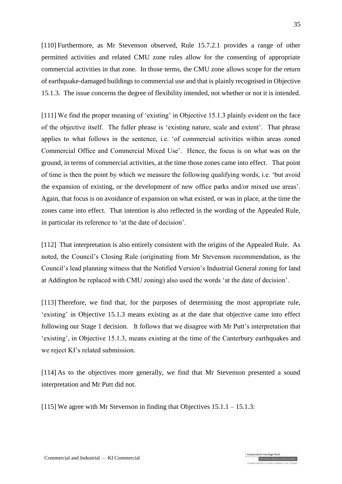[110] Furthermore, as Mr Stevenson observed, Rule 15.7.2.1 provides a range of other permitted activities and related CMU zone rules allow for the consenting of appropriate commercial activities in that zone. In those terms, the CMU zone allows scope for the return of earthquake-damaged buildings to commercial use and that is plainly recognised in Objective 15.1.3. The issue concerns the degree of flexibility intended, not whether or not it is intended.

[111] We find the proper meaning of 'existing' in Objective 15.1.3 plainly evident on the face of the objective itself. The fuller phrase is 'existing nature, scale and extent'. That phrase applies to what follows in the sentence, i.e. 'of commercial activities within areas zoned Commercial Office and Commercial Mixed Use'. Hence, the focus is on what was on the ground, in terms of commercial activities, at the time those zones came into effect. That point of time is then the point by which we measure the following qualifying words, i.e. 'but avoid the expansion of existing, or the development of new office parks and/or mixed use areas'. Again, that focus is on avoidance of expansion on what existed, or was in place, at the time the zones came into effect. That intention is also reflected in the wording of the Appealed Rule, in particular its reference to 'at the date of decision'.

[112] That interpretation is also entirely consistent with the origins of the Appealed Rule. As noted, the Council's Closing Rule (originating from Mr Stevenson recommendation, as the Council's lead planning witness that the Notified Version's Industrial General zoning for land at Addington be replaced with CMU zoning) also used the words 'at the date of decision'.

[113] Therefore, we find that, for the purposes of determining the most appropriate rule, 'existing' in Objective 15.1.3 means existing as at the date that objective came into effect following our Stage 1 decision. It follows that we disagree with Mr Putt's interpretation that 'existing', in Objective 15.1.3, means existing at the time of the Canterbury earthquakes and we reject KI's related submission.

[114] As to the objectives more generally, we find that Mr Stevenson presented a sound interpretation and Mr Putt did not.

[115] We agree with Mr Stevenson in finding that Objectives 15.1.1 – 15.1.3: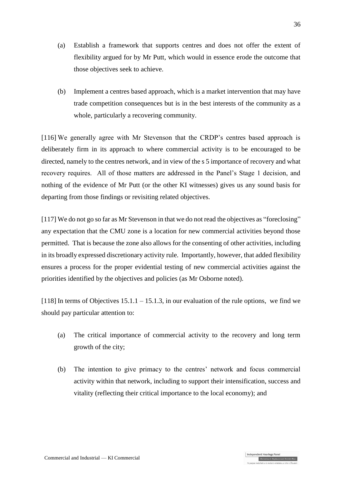- (a) Establish a framework that supports centres and does not offer the extent of flexibility argued for by Mr Putt, which would in essence erode the outcome that those objectives seek to achieve.
- (b) Implement a centres based approach, which is a market intervention that may have trade competition consequences but is in the best interests of the community as a whole, particularly a recovering community.

[116] We generally agree with Mr Stevenson that the CRDP's centres based approach is deliberately firm in its approach to where commercial activity is to be encouraged to be directed, namely to the centres network, and in view of the s 5 importance of recovery and what recovery requires. All of those matters are addressed in the Panel's Stage 1 decision, and nothing of the evidence of Mr Putt (or the other KI witnesses) gives us any sound basis for departing from those findings or revisiting related objectives.

[117] We do not go so far as Mr Stevenson in that we do not read the objectives as "foreclosing" any expectation that the CMU zone is a location for new commercial activities beyond those permitted. That is because the zone also allows for the consenting of other activities, including in its broadly expressed discretionary activity rule. Importantly, however, that added flexibility ensures a process for the proper evidential testing of new commercial activities against the priorities identified by the objectives and policies (as Mr Osborne noted).

[118] In terms of Objectives 15.1.1 – 15.1.3, in our evaluation of the rule options, we find we should pay particular attention to:

- (a) The critical importance of commercial activity to the recovery and long term growth of the city;
- (b) The intention to give primacy to the centres' network and focus commercial activity within that network, including to support their intensification, success and vitality (reflecting their critical importance to the local economy); and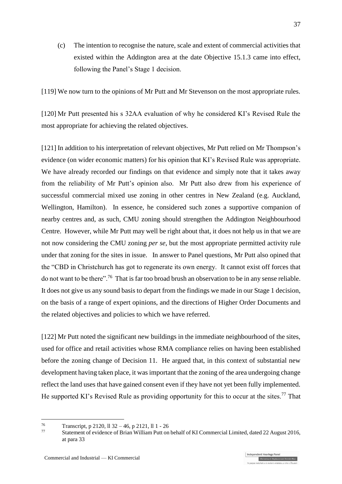(c) The intention to recognise the nature, scale and extent of commercial activities that existed within the Addington area at the date Objective 15.1.3 came into effect, following the Panel's Stage 1 decision.

[119] We now turn to the opinions of Mr Putt and Mr Stevenson on the most appropriate rules.

[120] Mr Putt presented his s 32AA evaluation of why he considered KI's Revised Rule the most appropriate for achieving the related objectives.

[121] In addition to his interpretation of relevant objectives, Mr Putt relied on Mr Thompson's evidence (on wider economic matters) for his opinion that KI's Revised Rule was appropriate. We have already recorded our findings on that evidence and simply note that it takes away from the reliability of Mr Putt's opinion also. Mr Putt also drew from his experience of successful commercial mixed use zoning in other centres in New Zealand (e.g. Auckland, Wellington, Hamilton). In essence, he considered such zones a supportive companion of nearby centres and, as such, CMU zoning should strengthen the Addington Neighbourhood Centre. However, while Mr Putt may well be right about that, it does not help us in that we are not now considering the CMU zoning *per se*, but the most appropriate permitted activity rule under that zoning for the sites in issue. In answer to Panel questions, Mr Putt also opined that the "CBD in Christchurch has got to regenerate its own energy. It cannot exist off forces that do not want to be there"<sup>76</sup> That is far too broad brush an observation to be in any sense reliable. It does not give us any sound basis to depart from the findings we made in our Stage 1 decision, on the basis of a range of expert opinions, and the directions of Higher Order Documents and the related objectives and policies to which we have referred.

[122] Mr Putt noted the significant new buildings in the immediate neighbourhood of the sites, used for office and retail activities whose RMA compliance relies on having been established before the zoning change of Decision 11. He argued that, in this context of substantial new development having taken place, it was important that the zoning of the area undergoing change reflect the land uses that have gained consent even if they have not yet been fully implemented. He supported KI's Revised Rule as providing opportunity for this to occur at the sites.<sup>77</sup> That

 $76$  $^{76}$  Transcript, p 2120, ll 32 – 46, p 2121, ll 1 - 26<br> $^{77}$  Statement of ovidence of Prior William Putt on

<sup>77</sup> Statement of evidence of Brian William Putt on behalf of KI Commercial Limited, dated 22 August 2016, at para 33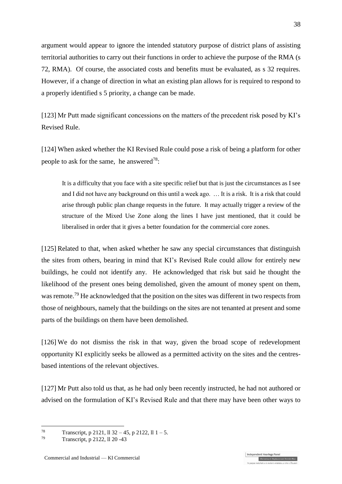argument would appear to ignore the intended statutory purpose of district plans of assisting territorial authorities to carry out their functions in order to achieve the purpose of the RMA (s 72, RMA). Of course, the associated costs and benefits must be evaluated, as s 32 requires. However, if a change of direction in what an existing plan allows for is required to respond to a properly identified s 5 priority, a change can be made.

[123] Mr Putt made significant concessions on the matters of the precedent risk posed by KI's Revised Rule.

<span id="page-37-0"></span>[124] When asked whether the KI Revised Rule could pose a risk of being a platform for other people to ask for the same, he answered<sup>78</sup>:

It is a difficulty that you face with a site specific relief but that is just the circumstances as I see and I did not have any background on this until a week ago. … It is a risk. It is a risk that could arise through public plan change requests in the future. It may actually trigger a review of the structure of the Mixed Use Zone along the lines I have just mentioned, that it could be liberalised in order that it gives a better foundation for the commercial core zones.

[125] Related to that, when asked whether he saw any special circumstances that distinguish the sites from others, bearing in mind that KI's Revised Rule could allow for entirely new buildings, he could not identify any. He acknowledged that risk but said he thought the likelihood of the present ones being demolished, given the amount of money spent on them, was remote.<sup>79</sup> He acknowledged that the position on the sites was different in two respects from those of neighbours, namely that the buildings on the sites are not tenanted at present and some parts of the buildings on them have been demolished.

[126] We do not dismiss the risk in that way, given the broad scope of redevelopment opportunity KI explicitly seeks be allowed as a permitted activity on the sites and the centresbased intentions of the relevant objectives.

[127] Mr Putt also told us that, as he had only been recently instructed, he had not authored or advised on the formulation of KI's Revised Rule and that there may have been other ways to

1

<sup>78</sup> Transcript, p 2121, ll 32 – 45, p 2122, ll 1 – 5.<br>
Transcript, p 2122, ll 20, 42

Transcript, p 2122, ll 20 -43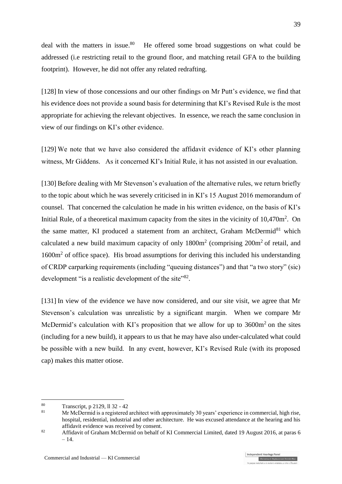deal with the matters in issue.<sup>80</sup> He offered some broad suggestions on what could be addressed (i.e restricting retail to the ground floor, and matching retail GFA to the building footprint). However, he did not offer any related redrafting.

[128] In view of those concessions and our other findings on Mr Putt's evidence, we find that his evidence does not provide a sound basis for determining that KI's Revised Rule is the most appropriate for achieving the relevant objectives. In essence, we reach the same conclusion in view of our findings on KI's other evidence.

[129] We note that we have also considered the affidavit evidence of KI's other planning witness, Mr Giddens. As it concerned KI's Initial Rule, it has not assisted in our evaluation.

[130] Before dealing with Mr Stevenson's evaluation of the alternative rules, we return briefly to the topic about which he was severely criticised in in KI's 15 August 2016 memorandum of counsel. That concerned the calculation he made in his written evidence, on the basis of KI's Initial Rule, of a theoretical maximum capacity from the sites in the vicinity of 10,470m<sup>2</sup>. On the same matter, KI produced a statement from an architect, Graham McDermid<sup>81</sup> which calculated a new build maximum capacity of only  $1800m^2$  (comprising  $200m^2$  of retail, and 1600m<sup>2</sup> of office space). His broad assumptions for deriving this included his understanding of CRDP carparking requirements (including "queuing distances") and that "a two story" (sic) development "is a realistic development of the site"<sup>82</sup>.

[131] In view of the evidence we have now considered, and our site visit, we agree that Mr Stevenson's calculation was unrealistic by a significant margin. When we compare Mr McDermid's calculation with KI's proposition that we allow for up to  $3600m<sup>2</sup>$  on the sites (including for a new build), it appears to us that he may have also under-calculated what could be possible with a new build. In any event, however, KI's Revised Rule (with its proposed cap) makes this matter otiose.

 $80$  $\frac{80}{181}$  Transcript, p 2129, ll 32 - 42

<sup>81</sup> Mr McDermid is a registered architect with approximately 30 years' experience in commercial, high rise, hospital, residential, industrial and other architecture. He was excused attendance at the hearing and his affidavit evidence was received by consent.

<sup>&</sup>lt;sup>82</sup> Affidavit of Graham McDermid on behalf of KI Commercial Limited, dated 19 August 2016, at paras 6  $-14.$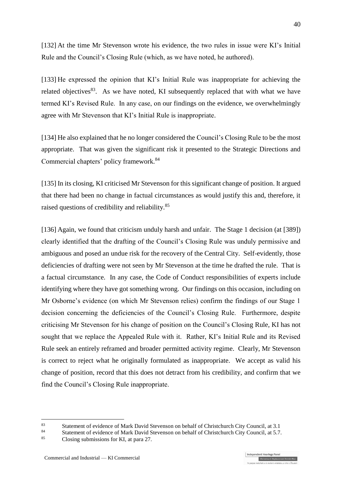[132] At the time Mr Stevenson wrote his evidence, the two rules in issue were KI's Initial Rule and the Council's Closing Rule (which, as we have noted, he authored).

[133] He expressed the opinion that KI's Initial Rule was inappropriate for achieving the related objectives<sup>83</sup>. As we have noted, KI subsequently replaced that with what we have termed KI's Revised Rule. In any case, on our findings on the evidence, we overwhelmingly agree with Mr Stevenson that KI's Initial Rule is inappropriate.

[134] He also explained that he no longer considered the Council's Closing Rule to be the most appropriate. That was given the significant risk it presented to the Strategic Directions and Commercial chapters' policy framework.<sup>84</sup>

[135] In its closing, KI criticised Mr Stevenson for this significant change of position. It argued that there had been no change in factual circumstances as would justify this and, therefore, it raised questions of credibility and reliability.<sup>85</sup>

[136] Again, we found that criticism unduly harsh and unfair. The Stage 1 decision (at [389]) clearly identified that the drafting of the Council's Closing Rule was unduly permissive and ambiguous and posed an undue risk for the recovery of the Central City. Self-evidently, those deficiencies of drafting were not seen by Mr Stevenson at the time he drafted the rule. That is a factual circumstance. In any case, the Code of Conduct responsibilities of experts include identifying where they have got something wrong. Our findings on this occasion, including on Mr Osborne's evidence (on which Mr Stevenson relies) confirm the findings of our Stage 1 decision concerning the deficiencies of the Council's Closing Rule. Furthermore, despite criticising Mr Stevenson for his change of position on the Council's Closing Rule, KI has not sought that we replace the Appealed Rule with it. Rather, KI's Initial Rule and its Revised Rule seek an entirely reframed and broader permitted activity regime. Clearly, Mr Stevenson is correct to reject what he originally formulated as inappropriate. We accept as valid his change of position, record that this does not detract from his credibility, and confirm that we find the Council's Closing Rule inappropriate.

 $83$ 83 Statement of evidence of Mark David Stevenson on behalf of Christchurch City Council, at 3.1

<sup>&</sup>lt;sup>84</sup> Statement of evidence of Mark David Stevenson on behalf of Christchurch City Council, at 5.7.<br><sup>85</sup> Closing submissions for  $VI$  at none 27.

Closing submissions for KI, at para 27.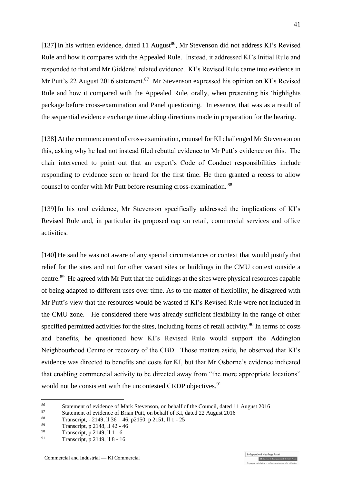[137] In his written evidence, dated 11 August<sup>86</sup>, Mr Stevenson did not address KI's Revised Rule and how it compares with the Appealed Rule. Instead, it addressed KI's Initial Rule and responded to that and Mr Giddens' related evidence. KI's Revised Rule came into evidence in Mr Putt's 22 August 2016 statement.<sup>87</sup> Mr Stevenson expressed his opinion on KI's Revised Rule and how it compared with the Appealed Rule, orally, when presenting his 'highlights package before cross-examination and Panel questioning. In essence, that was as a result of the sequential evidence exchange timetabling directions made in preparation for the hearing.

[138] At the commencement of cross-examination, counsel for KI challenged Mr Stevenson on this, asking why he had not instead filed rebuttal evidence to Mr Putt's evidence on this. The chair intervened to point out that an expert's Code of Conduct responsibilities include responding to evidence seen or heard for the first time. He then granted a recess to allow counsel to confer with Mr Putt before resuming cross-examination. <sup>88</sup>

[139] In his oral evidence, Mr Stevenson specifically addressed the implications of KI's Revised Rule and, in particular its proposed cap on retail, commercial services and office activities.

[140] He said he was not aware of any special circumstances or context that would justify that relief for the sites and not for other vacant sites or buildings in the CMU context outside a centre.<sup>89</sup> He agreed with Mr Putt that the buildings at the sites were physical resources capable of being adapted to different uses over time. As to the matter of flexibility, he disagreed with Mr Putt's view that the resources would be wasted if KI's Revised Rule were not included in the CMU zone. He considered there was already sufficient flexibility in the range of other specified permitted activities for the sites, including forms of retail activity.<sup>90</sup> In terms of costs and benefits, he questioned how KI's Revised Rule would support the Addington Neighbourhood Centre or recovery of the CBD. Those matters aside, he observed that KI's evidence was directed to benefits and costs for KI, but that Mr Osborne's evidence indicated that enabling commercial activity to be directed away from "the more appropriate locations" would not be consistent with the uncontested CRDP objectives.<sup>91</sup>

 $86$ <sup>86</sup><br>Statement of evidence of Mark Stevenson, on behalf of the Council, dated 11 August 2016<br>Statement of evidence of Prior Putt, on hebelf of KL dated 22 August 2016

<sup>&</sup>lt;sup>87</sup> Statement of evidence of Brian Putt, on behalf of KI, dated 22 August 2016

<sup>&</sup>lt;sup>88</sup> Transcript, - 2149, ll 36 – 46, p2150, p 2151, ll 1 - 25

 $\frac{89}{90}$  Transcript, p 2148, ll 42 - 46

<sup>90</sup> Transcript, p 2149, ll 1 - 6<br> $\frac{91}{2}$  Transcript, p 2140, ll 8 - 14

<sup>91</sup> Transcript, p 2149, ll 8 - 16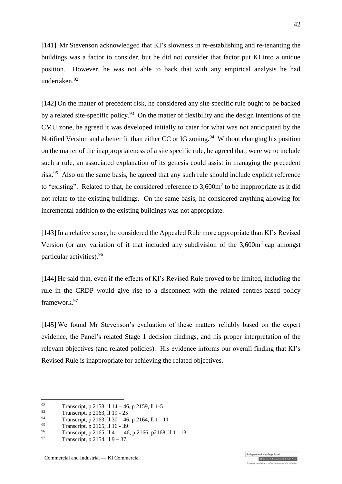[141] Mr Stevenson acknowledged that KI's slowness in re-establishing and re-tenanting the buildings was a factor to consider, but he did not consider that factor put KI into a unique position. However, he was not able to back that with any empirical analysis he had undertaken.<sup>92</sup>

[142] On the matter of precedent risk, he considered any site specific rule ought to be backed by a related site-specific policy.<sup>93</sup> On the matter of flexibility and the design intentions of the CMU zone, he agreed it was developed initially to cater for what was not anticipated by the Notified Version and a better fit than either CC or IG zoning.<sup>94</sup> Without changing his position on the matter of the inappropriateness of a site specific rule, he agreed that, were we to include such a rule, an associated explanation of its genesis could assist in managing the precedent risk.<sup>95</sup> Also on the same basis, he agreed that any such rule should include explicit reference to "existing". Related to that, he considered reference to  $3,600m^2$  to be inappropriate as it did not relate to the existing buildings. On the same basis, he considered anything allowing for incremental addition to the existing buildings was not appropriate.

[143] In a relative sense, he considered the Appealed Rule more appropriate than KI's Revised Version (or any variation of it that included any subdivision of the  $3,600m^2$  cap amongst particular activities).<sup>96</sup>

[144] He said that, even if the effects of KI's Revised Rule proved to be limited, including the rule in the CRDP would give rise to a disconnect with the related centres-based policy framework.<sup>97</sup>

[145] We found Mr Stevenson's evaluation of these matters reliably based on the expert evidence, the Panel's related Stage 1 decision findings, and his proper interpretation of the relevant objectives (and related policies). His evidence informs our overall finding that KI's Revised Rule is inappropriate for achieving the related objectives.

<sup>92</sup> 92 Transcript, p 2158, ll  $14 - 46$ , p 2159, ll  $1-5$ <br>93 Transcript, p 2162, ll  $10^{25}$ 

 $\frac{93}{94}$  Transcript, p 2163, ll 19 - 25

<sup>94</sup> Transcript, p 2163, ll 30 – 46, p 2164, ll 1 - 11

 $\frac{95}{96}$  Transcript, p 2165, ll 16 - 39

<sup>96</sup> Transcript, p 2165, ll 41 - 46, p 2166, p 2168, ll 1 - 13

Transcript, p 2154,  $119 - 37$ .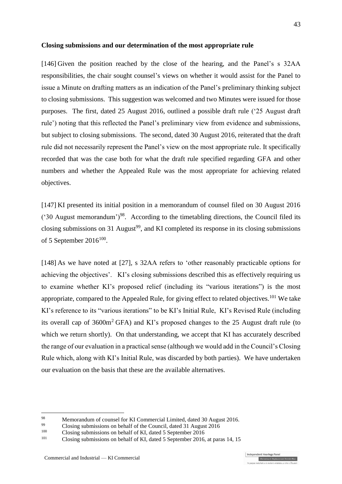#### **Closing submissions and our determination of the most appropriate rule**

[146] Given the position reached by the close of the hearing, and the Panel's s 32AA responsibilities, the chair sought counsel's views on whether it would assist for the Panel to issue a Minute on drafting matters as an indication of the Panel's preliminary thinking subject to closing submissions. This suggestion was welcomed and two Minutes were issued for those purposes. The first, dated 25 August 2016, outlined a possible draft rule ('25 August draft rule') noting that this reflected the Panel's preliminary view from evidence and submissions, but subject to closing submissions. The second, dated 30 August 2016, reiterated that the draft rule did not necessarily represent the Panel's view on the most appropriate rule. It specifically recorded that was the case both for what the draft rule specified regarding GFA and other numbers and whether the Appealed Rule was the most appropriate for achieving related objectives.

[147] KI presented its initial position in a memorandum of counsel filed on 30 August 2016 ('30 August memorandum')<sup>98</sup>. According to the timetabling directions, the Council filed its closing submissions on 31 August<sup>99</sup>, and KI completed its response in its closing submissions of 5 September 2016 $^{100}$ .

[148] As we have noted at [\[27\],](#page-10-0) s 32AA refers to 'other reasonably practicable options for achieving the objectives'. KI's closing submissions described this as effectively requiring us to examine whether KI's proposed relief (including its "various iterations") is the most appropriate, compared to the Appealed Rule, for giving effect to related objectives.<sup>101</sup> We take KI's reference to its "various iterations" to be KI's Initial Rule, KI's Revised Rule (including its overall cap of 3600m<sup>2</sup>GFA) and KI's proposed changes to the 25 August draft rule (to which we return shortly). On that understanding, we accept that KI has accurately described the range of our evaluation in a practical sense (although we would add in the Council's Closing Rule which, along with KI's Initial Rule, was discarded by both parties). We have undertaken our evaluation on the basis that these are the available alternatives.

<sup>98</sup> <sup>98</sup> Memorandum of counsel for KI Commercial Limited, dated 30 August 2016.<br>
Classics submissions on habels of the Counsil dated 21 August 2016.

<sup>&</sup>lt;sup>99</sup> Closing submissions on behalf of the Council, dated 31 August 2016<br> $\frac{100}{\text{Closing simplification}}$  on behalf of *VI* dated 5 September 2016

<sup>&</sup>lt;sup>100</sup> Closing submissions on behalf of KI, dated 5 September 2016<br> $\frac{101}{\text{C}}$  Closing submissions on behalf of KI, dated 5 September 2016

Closing submissions on behalf of KI, dated 5 September 2016, at paras 14, 15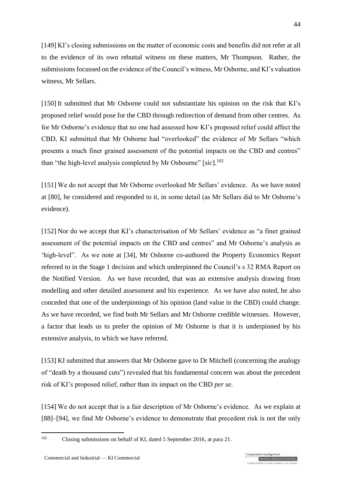[149] KI's closing submissions on the matter of economic costs and benefits did not refer at all to the evidence of its own rebuttal witness on these matters, Mr Thompson. Rather, the submissions focussed on the evidence of the Council's witness, Mr Osborne, and KI's valuation witness, Mr Sellars.

[150] It submitted that Mr Osborne could not substantiate his opinion on the risk that KI's proposed relief would pose for the CBD through redirection of demand from other centres. As for Mr Osborne's evidence that no one had assessed how KI's proposed relief could affect the CBD, KI submitted that Mr Osborne had "overlooked" the evidence of Mr Sellars "which presents a much finer grained assessment of the potential impacts on the CBD and centres" than "the high-level analysis completed by Mr Osbourne" [*sic*].<sup>102</sup>

[151] We do not accept that Mr Osborne overlooked Mr Sellars' evidence. As we have noted at [\[80\],](#page-26-0) he considered and responded to it, in some detail (as Mr Sellars did to Mr Osborne's evidence).

[152] Nor do we accept that KI's characterisation of Mr Sellars' evidence as "a finer grained assessment of the potential impacts on the CBD and centres" and Mr Osborne's analysis as 'high-level". As we note at [\[34\],](#page-13-0) Mr Osborne co-authored the Property Economics Report referred to in the Stage 1 decision and which underpinned the Council's s 32 RMA Report on the Notified Version. As we have recorded, that was an extensive analysis drawing from modelling and other detailed assessment and his experience. As we have also noted, he also conceded that one of the underpinnings of his opinion (land value in the CBD) could change. As we have recorded, we find both Mr Sellars and Mr Osborne credible witnesses. However, a factor that leads us to prefer the opinion of Mr Osborne is that it is underpinned by his extensive analysis, to which we have referred.

[153] KI submitted that answers that Mr Osborne gave to Dr Mitchell (concerning the analogy of "death by a thousand cuts") revealed that his fundamental concern was about the precedent risk of KI's proposed relief, rather than its impact on the CBD *per se*.

[154] We do not accept that is a fair description of Mr Osborne's evidence. As we explain at [\[88\]](#page-28-0)[–\[94\],](#page-30-0) we find Mr Osborne's evidence to demonstrate that precedent risk is not the only

Closing submissions on behalf of KI, dated 5 September 2016, at para 21.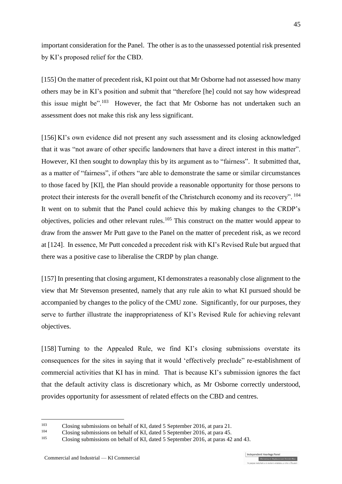important consideration for the Panel. The other is as to the unassessed potential risk presented by KI's proposed relief for the CBD.

[155] On the matter of precedent risk, KI point out that Mr Osborne had not assessed how many others may be in KI's position and submit that "therefore [he] could not say how widespread this issue might be".<sup>103</sup> However, the fact that Mr Osborne has not undertaken such an assessment does not make this risk any less significant.

[156] KI's own evidence did not present any such assessment and its closing acknowledged that it was "not aware of other specific landowners that have a direct interest in this matter". However, KI then sought to downplay this by its argument as to "fairness". It submitted that, as a matter of "fairness", if others "are able to demonstrate the same or similar circumstances to those faced by [KI], the Plan should provide a reasonable opportunity for those persons to protect their interests for the overall benefit of the Christchurch economy and its recovery". <sup>104</sup> It went on to submit that the Panel could achieve this by making changes to the CRDP's objectives, policies and other relevant rules.<sup>105</sup> This construct on the matter would appear to draw from the answer Mr Putt gave to the Panel on the matter of precedent risk, as we record at [\[124\].](#page-37-0) In essence, Mr Putt conceded a precedent risk with KI's Revised Rule but argued that there was a positive case to liberalise the CRDP by plan change.

[157] In presenting that closing argument, KI demonstrates a reasonably close alignment to the view that Mr Stevenson presented, namely that any rule akin to what KI pursued should be accompanied by changes to the policy of the CMU zone. Significantly, for our purposes, they serve to further illustrate the inappropriateness of KI's Revised Rule for achieving relevant objectives.

<span id="page-44-0"></span>[158] Turning to the Appealed Rule, we find KI's closing submissions overstate its consequences for the sites in saying that it would 'effectively preclude" re-establishment of commercial activities that KI has in mind. That is because KI's submission ignores the fact that the default activity class is discretionary which, as Mr Osborne correctly understood, provides opportunity for assessment of related effects on the CBD and centres.

 $103$ <sup>103</sup> Closing submissions on behalf of KI, dated 5 September 2016, at para 21.<br>
<sup>104</sup> Closing submissions on behalf of KI, dated 5 September 2016, at para 45

<sup>&</sup>lt;sup>104</sup> Closing submissions on behalf of KI, dated 5 September 2016, at para 45.<br><sup>105</sup> Closing submissions on behalf of KI dated 5 September 2016, at paras 42.

Closing submissions on behalf of KI, dated 5 September 2016, at paras 42 and 43.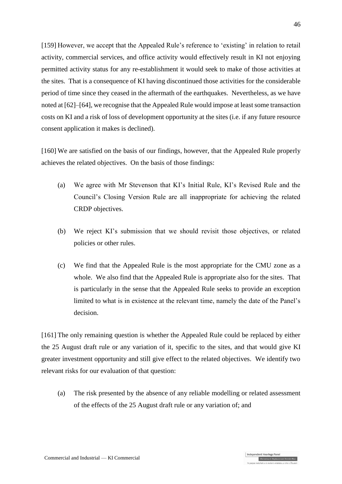[159] However, we accept that the Appealed Rule's reference to 'existing' in relation to retail activity, commercial services, and office activity would effectively result in KI not enjoying permitted activity status for any re-establishment it would seek to make of those activities at the sites. That is a consequence of KI having discontinued those activities for the considerable period of time since they ceased in the aftermath of the earthquakes. Nevertheless, as we have noted at [\[62\]](#page-21-0)[–\[64\],](#page-21-1) we recognise that the Appealed Rule would impose at least some transaction costs on KI and a risk of loss of development opportunity at the sites (i.e. if any future resource consent application it makes is declined).

[160] We are satisfied on the basis of our findings, however, that the Appealed Rule properly achieves the related objectives. On the basis of those findings:

- (a) We agree with Mr Stevenson that KI's Initial Rule, KI's Revised Rule and the Council's Closing Version Rule are all inappropriate for achieving the related CRDP objectives.
- (b) We reject KI's submission that we should revisit those objectives, or related policies or other rules.
- (c) We find that the Appealed Rule is the most appropriate for the CMU zone as a whole. We also find that the Appealed Rule is appropriate also for the sites. That is particularly in the sense that the Appealed Rule seeks to provide an exception limited to what is in existence at the relevant time, namely the date of the Panel's decision.

[161] The only remaining question is whether the Appealed Rule could be replaced by either the 25 August draft rule or any variation of it, specific to the sites, and that would give KI greater investment opportunity and still give effect to the related objectives. We identify two relevant risks for our evaluation of that question:

(a) The risk presented by the absence of any reliable modelling or related assessment of the effects of the 25 August draft rule or any variation of; and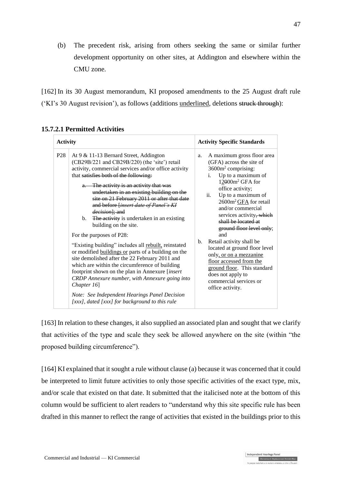(b) The precedent risk, arising from others seeking the same or similar further development opportunity on other sites, at Addington and elsewhere within the CMU zone.

[162] In its 30 August memorandum, KI proposed amendments to the 25 August draft rule ('KI's 30 August revision'), as follows (additions underlined, deletions struck through):

| <b>Activity</b>                                                                                                                                                                                                                                                                                                                                                                                                                                                                                                                                                                                                                                                                                                                                                                                                                                                                                                                                                        | <b>Activity Specific Standards</b>                                                                                                                                                                                                                                                                                                                                                                                                                                                                                                                                          |
|------------------------------------------------------------------------------------------------------------------------------------------------------------------------------------------------------------------------------------------------------------------------------------------------------------------------------------------------------------------------------------------------------------------------------------------------------------------------------------------------------------------------------------------------------------------------------------------------------------------------------------------------------------------------------------------------------------------------------------------------------------------------------------------------------------------------------------------------------------------------------------------------------------------------------------------------------------------------|-----------------------------------------------------------------------------------------------------------------------------------------------------------------------------------------------------------------------------------------------------------------------------------------------------------------------------------------------------------------------------------------------------------------------------------------------------------------------------------------------------------------------------------------------------------------------------|
| P <sub>28</sub><br>At 9 & 11-13 Bernard Street, Addington<br>(CB29B/221 and CB29B/220) (the 'site') retail<br>activity, commercial services and/or office activity<br>that satisfies both of the following:<br>a. The activity is an activity that was<br>undertaken in an existing building on the<br>site on 21 February 2011 or after that date<br>and before [insert date of Panel's KI<br><i>decision</i> , and<br>The activity is undertaken in an existing<br>b.<br>building on the site.<br>For the purposes of P28:<br>"Existing building" includes all rebuilt, reinstated<br>or modified buildings or parts of a building on the<br>site demolished after the 22 February 2011 and<br>which are within the circumference of building<br>footprint shown on the plan in Annexure [insert]<br>CRDP Annexure number, with Annexure going into<br>Chapter 16<br>Note: See Independent Hearings Panel Decision<br>[xxx], dated [xxx] for background to this rule | A maximum gross floor area<br>a.<br>(GFA) across the site of<br>$3600m2$ comprising:<br>Up to a maximum of<br>i.<br>12000m <sup>2</sup> GFA for<br>office activity;<br>ii.<br>Up to a maximum of<br>2600m <sup>2</sup> GFA for retail<br>and/or commercial<br>services activity, which<br>shall be located at<br>ground floor level only;<br>and<br>Retail activity shall be<br>b.<br>located at ground floor level<br>only, or on a mezzanine<br>floor accessed from the<br>ground floor. This standard<br>does not apply to<br>commercial services or<br>office activity. |

## **15.7.2.1 Permitted Activities**

[163] In relation to these changes, it also supplied an associated plan and sought that we clarify that activities of the type and scale they seek be allowed anywhere on the site (within "the proposed building circumference").

[164] KI explained that it sought a rule without clause (a) because it was concerned that it could be interpreted to limit future activities to only those specific activities of the exact type, mix, and/or scale that existed on that date. It submitted that the italicised note at the bottom of this column would be sufficient to alert readers to "understand why this site specific rule has been drafted in this manner to reflect the range of activities that existed in the buildings prior to this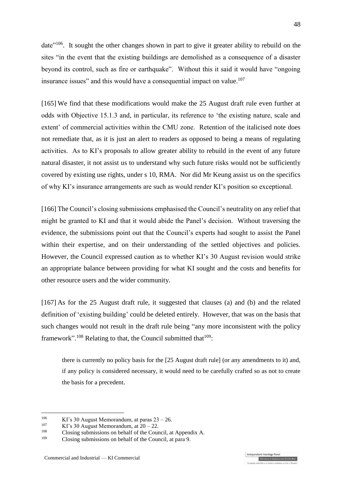date"<sup>106</sup>. It sought the other changes shown in part to give it greater ability to rebuild on the sites "in the event that the existing buildings are demolished as a consequence of a disaster beyond its control, such as fire or earthquake". Without this it said it would have "ongoing insurance issues" and this would have a consequential impact on value.<sup>107</sup>

[165] We find that these modifications would make the 25 August draft rule even further at odds with Objective 15.1.3 and, in particular, its reference to 'the existing nature, scale and extent' of commercial activities within the CMU zone. Retention of the italicised note does not remediate that, as it is just an alert to readers as opposed to being a means of regulating activities. As to KI's proposals to allow greater ability to rebuild in the event of any future natural disaster, it not assist us to understand why such future risks would not be sufficiently covered by existing use rights, under s 10, RMA. Nor did Mr Keung assist us on the specifics of why KI's insurance arrangements are such as would render KI's position so exceptional.

[166] The Council's closing submissions emphasised the Council's neutrality on any relief that might be granted to KI and that it would abide the Panel's decision. Without traversing the evidence, the submissions point out that the Council's experts had sought to assist the Panel within their expertise, and on their understanding of the settled objectives and policies. However, the Council expressed caution as to whether KI's 30 August revision would strike an appropriate balance between providing for what KI sought and the costs and benefits for other resource users and the wider community.

[167] As for the 25 August draft rule, it suggested that clauses (a) and (b) and the related definition of 'existing building' could be deleted entirely. However, that was on the basis that such changes would not result in the draft rule being "any more inconsistent with the policy framework".<sup>108</sup> Relating to that, the Council submitted that  $109$ :

there is currently no policy basis for the [25 August draft rule] (or any amendments to it) and, if any policy is considered necessary, it would need to be carefully crafted so as not to create the basis for a precedent.

<sup>106</sup> <sup>106</sup> KI's 30 August Memorandum, at paras  $23 - 26$ .

<sup>&</sup>lt;sup>107</sup> KI's 30 August Memorandum, at  $20-22$ .<br><sup>108</sup> Closing submissions on babalf of the Coun

<sup>&</sup>lt;sup>108</sup> Closing submissions on behalf of the Council, at Appendix A.<br><sup>109</sup> Closing submissions on behalf of the Council, at nore 0.

Closing submissions on behalf of the Council, at para 9.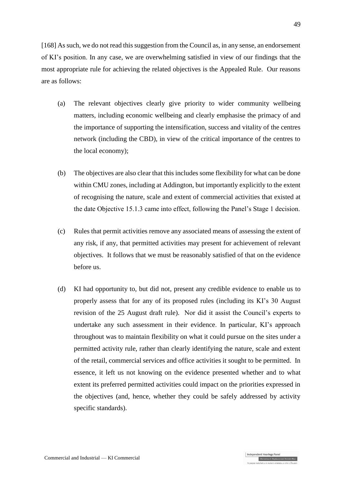[168] As such, we do not read this suggestion from the Council as, in any sense, an endorsement of KI's position. In any case, we are overwhelming satisfied in view of our findings that the most appropriate rule for achieving the related objectives is the Appealed Rule. Our reasons are as follows:

- (a) The relevant objectives clearly give priority to wider community wellbeing matters, including economic wellbeing and clearly emphasise the primacy of and the importance of supporting the intensification, success and vitality of the centres network (including the CBD), in view of the critical importance of the centres to the local economy);
- (b) The objectives are also clear that this includes some flexibility for what can be done within CMU zones, including at Addington, but importantly explicitly to the extent of recognising the nature, scale and extent of commercial activities that existed at the date Objective 15.1.3 came into effect, following the Panel's Stage 1 decision.
- (c) Rules that permit activities remove any associated means of assessing the extent of any risk, if any, that permitted activities may present for achievement of relevant objectives. It follows that we must be reasonably satisfied of that on the evidence before us.
- (d) KI had opportunity to, but did not, present any credible evidence to enable us to properly assess that for any of its proposed rules (including its KI's 30 August revision of the 25 August draft rule). Nor did it assist the Council's experts to undertake any such assessment in their evidence. In particular, KI's approach throughout was to maintain flexibility on what it could pursue on the sites under a permitted activity rule, rather than clearly identifying the nature, scale and extent of the retail, commercial services and office activities it sought to be permitted. In essence, it left us not knowing on the evidence presented whether and to what extent its preferred permitted activities could impact on the priorities expressed in the objectives (and, hence, whether they could be safely addressed by activity specific standards).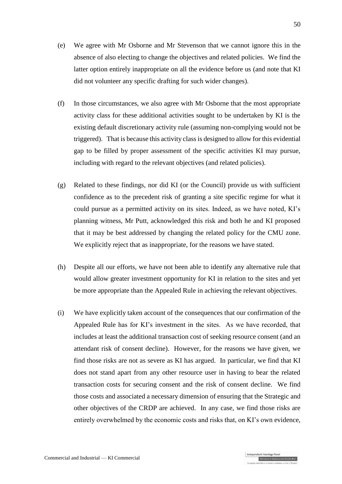- (e) We agree with Mr Osborne and Mr Stevenson that we cannot ignore this in the absence of also electing to change the objectives and related policies. We find the latter option entirely inappropriate on all the evidence before us (and note that KI did not volunteer any specific drafting for such wider changes).
- (f) In those circumstances, we also agree with Mr Osborne that the most appropriate activity class for these additional activities sought to be undertaken by KI is the existing default discretionary activity rule (assuming non-complying would not be triggered). That is because this activity class is designed to allow for this evidential gap to be filled by proper assessment of the specific activities KI may pursue, including with regard to the relevant objectives (and related policies).
- (g) Related to these findings, nor did KI (or the Council) provide us with sufficient confidence as to the precedent risk of granting a site specific regime for what it could pursue as a permitted activity on its sites. Indeed, as we have noted, KI's planning witness, Mr Putt, acknowledged this risk and both he and KI proposed that it may be best addressed by changing the related policy for the CMU zone. We explicitly reject that as inappropriate, for the reasons we have stated.
- (h) Despite all our efforts, we have not been able to identify any alternative rule that would allow greater investment opportunity for KI in relation to the sites and yet be more appropriate than the Appealed Rule in achieving the relevant objectives.
- (i) We have explicitly taken account of the consequences that our confirmation of the Appealed Rule has for KI's investment in the sites. As we have recorded, that includes at least the additional transaction cost of seeking resource consent (and an attendant risk of consent decline). However, for the reasons we have given, we find those risks are not as severe as KI has argued. In particular, we find that KI does not stand apart from any other resource user in having to bear the related transaction costs for securing consent and the risk of consent decline. We find those costs and associated a necessary dimension of ensuring that the Strategic and other objectives of the CRDP are achieved. In any case, we find those risks are entirely overwhelmed by the economic costs and risks that, on KI's own evidence,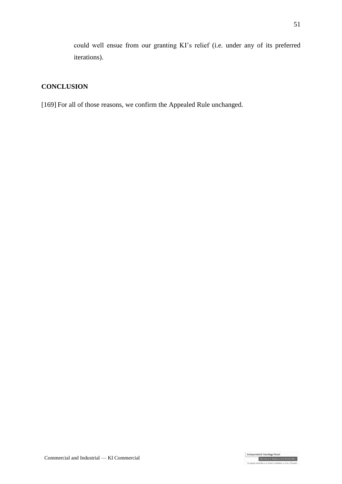could well ensue from our granting KI's relief (i.e. under any of its preferred iterations).

# **CONCLUSION**

[169] For all of those reasons, we confirm the Appealed Rule unchanged.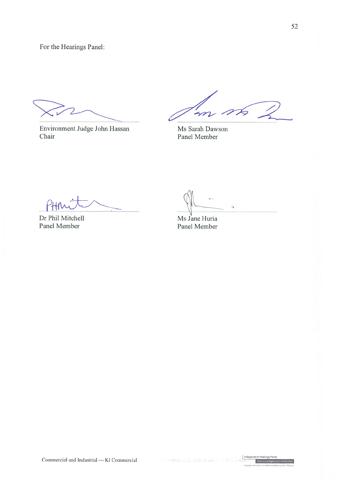For the Hearings Panel:

Environment Judge John Hassan Chair

 $\frac{1}{2}$ 

Ms Sarah Dawson Panel Member

Dr Phil Mitchell Panel Member

Ms Jane Huria Panel Member

 $int H$ 

ngs Pa

Christchurch Replacement District Plan

Indep